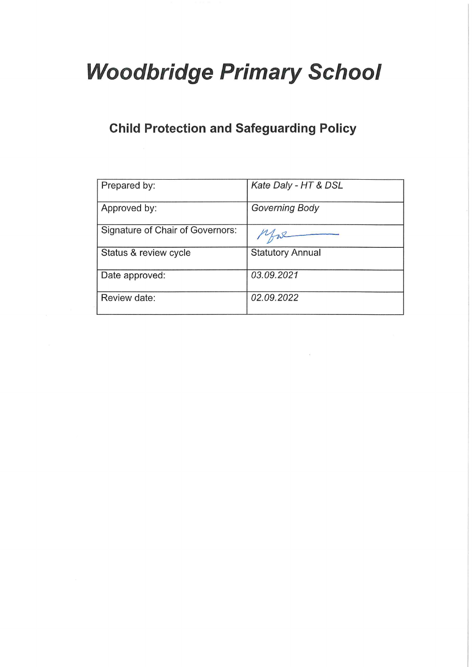# **Woodbridge Primary School**

# **Child Protection and Safeguarding Policy**

| Prepared by:                     | Kate Daly - HT & DSL    |
|----------------------------------|-------------------------|
| Approved by:                     | <b>Governing Body</b>   |
| Signature of Chair of Governors: |                         |
| Status & review cycle            | <b>Statutory Annual</b> |
| Date approved:                   | 03.09.2021              |
| Review date:                     | 02.09.2022              |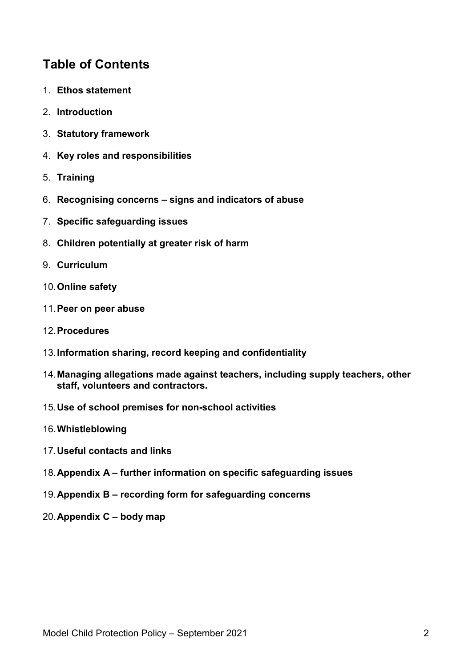# **Table of Contents**

- 1. **Ethos statement**
- 2. **Introduction**
- 3. **Statutory framework**
- 4. **Key roles and responsibilities**
- 5. **Training**
- 6. **Recognising concerns – signs and indicators of abuse**
- 7. **Specific safeguarding issues**
- 8. **Children potentially at greater risk of harm**
- 9. **Curriculum**
- 10.**Online safety**
- 11.**Peer on peer abuse**
- 12.**Procedures**
- 13.**Information sharing, record keeping and confidentiality**
- 14.**Managing allegations made against teachers, including supply teachers, other staff, volunteers and contractors.**
- 15.**Use of school premises for non-school activities**
- 16.**Whistleblowing**
- 17.**Useful contacts and links**
- 18.**Appendix A – further information on specific safeguarding issues**
- 19.**Appendix B – recording form for safeguarding concerns**
- 20.**Appendix C – body map**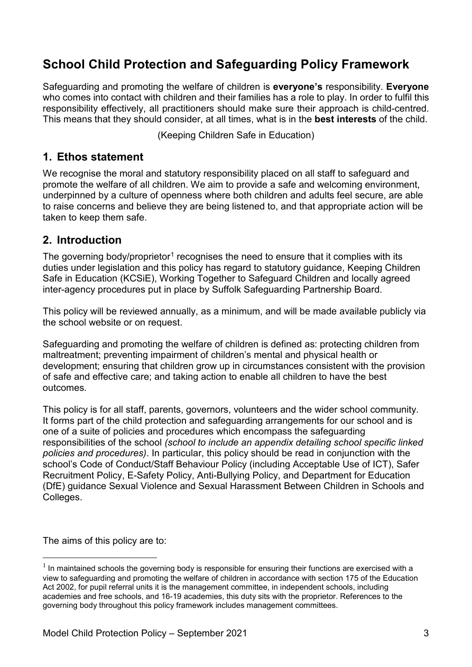# **School Child Protection and Safeguarding Policy Framework**

Safeguarding and promoting the welfare of children is **everyone's** responsibility. **Everyone** who comes into contact with children and their families has a role to play. In order to fulfil this responsibility effectively, all practitioners should make sure their approach is child-centred. This means that they should consider, at all times, what is in the **best interests** of the child.

(Keeping Children Safe in Education)

#### **1. Ethos statement**

We recognise the moral and statutory responsibility placed on all staff to safeguard and promote the welfare of all children. We aim to provide a safe and welcoming environment, underpinned by a culture of openness where both children and adults feel secure, are able to raise concerns and believe they are being listened to, and that appropriate action will be taken to keep them safe.

### **2. Introduction**

The governing body/proprietor<sup>[1](#page-2-0)</sup> recognises the need to ensure that it complies with its duties under legislation and this policy has regard to statutory guidance, Keeping Children Safe in Education (KCSiE), Working Together to Safeguard Children and locally agreed inter-agency procedures put in place by Suffolk Safeguarding Partnership Board.

This policy will be reviewed annually, as a minimum, and will be made available publicly via the school website or on request.

Safeguarding and promoting the welfare of children is defined as: protecting children from maltreatment; preventing impairment of children's mental and physical health or development; ensuring that children grow up in circumstances consistent with the provision of safe and effective care; and taking action to enable all children to have the best outcomes.

This policy is for all staff, parents, governors, volunteers and the wider school community. It forms part of the child protection and safeguarding arrangements for our school and is one of a suite of policies and procedures which encompass the safeguarding responsibilities of the school *(school to include an appendix detailing school specific linked policies and procedures)*. In particular, this policy should be read in conjunction with the school's Code of Conduct/Staff Behaviour Policy (including Acceptable Use of ICT), Safer Recruitment Policy, E-Safety Policy, Anti-Bullying Policy, and Department for Education (DfE) guidance Sexual Violence and Sexual Harassment Between Children in Schools and Colleges.

The aims of this policy are to:

<span id="page-2-0"></span> $1$  In maintained schools the governing body is responsible for ensuring their functions are exercised with a view to safeguarding and promoting the welfare of children in accordance with section 175 of the Education Act 2002, for pupil referral units it is the management committee, in independent schools, including academies and free schools, and 16-19 academies, this duty sits with the proprietor. References to the governing body throughout this policy framework includes management committees.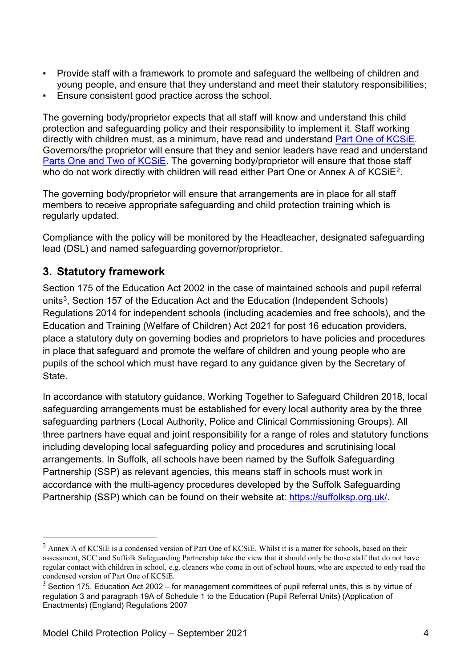- Provide staff with a framework to promote and safeguard the wellbeing of children and young people, and ensure that they understand and meet their statutory responsibilities;
- **Ensure consistent good practice across the school.**

The governing body/proprietor expects that all staff will know and understand this child protection and safeguarding policy and their responsibility to implement it. Staff working directly with children must, as a minimum, have read and understand [Part One of KCSiE.](https://www.gov.uk/government/publications/keeping-children-safe-in-education--2) Governors/the proprietor will ensure that they and senior leaders have read and understand [Parts One and Two of KCSiE.](https://www.gov.uk/government/publications/keeping-children-safe-in-education--2) The governing body/proprietor will ensure that those staff who do not work directly with children will read either Part One or Annex A of KCSiE<sup>2</sup>.

The governing body/proprietor will ensure that arrangements are in place for all staff members to receive appropriate safeguarding and child protection training which is regularly updated.

Compliance with the policy will be monitored by the Headteacher, designated safeguarding lead (DSL) and named safeguarding governor/proprietor.

# **3. Statutory framework**

Section 175 of the Education Act 2002 in the case of maintained schools and pupil referral units<sup>[3](#page-3-1)</sup>, Section 157 of the Education Act and the Education (Independent Schools) Regulations 2014 for independent schools (including academies and free schools), and the Education and Training (Welfare of Children) Act 2021 for post 16 education providers, place a statutory duty on governing bodies and proprietors to have policies and procedures in place that safeguard and promote the welfare of children and young people who are pupils of the school which must have regard to any guidance given by the Secretary of State.

In accordance with statutory guidance, Working Together to Safeguard Children 2018, local safeguarding arrangements must be established for every local authority area by the three safeguarding partners (Local Authority, Police and Clinical Commissioning Groups). All three partners have equal and joint responsibility for a range of roles and statutory functions including developing local safeguarding policy and procedures and scrutinising local arrangements. In Suffolk, all schools have been named by the Suffolk Safeguarding Partnership (SSP) as relevant agencies, this means staff in schools must work in accordance with the multi-agency procedures developed by the Suffolk Safeguarding Partnership (SSP) which can be found on their website at: [https://suffolksp.org.uk/.](https://suffolksp.org.uk/)

<span id="page-3-0"></span> $2$  Annex A of KCSiE is a condensed version of Part One of KCSiE. Whilst it is a matter for schools, based on their assessment, SCC and Suffolk Safeguarding Partnership take the view that it should only be those staff that do not have regular contact with children in school, e.g. cleaners who come in out of school hours, who are expected to only read the condensed version of Part One of KCSiE.

<span id="page-3-1"></span> $3$  Section 175, Education Act 2002 – for management committees of pupil referral units, this is by virtue of regulation 3 and paragraph 19A of Schedule 1 to the Education (Pupil Referral Units) (Application of Enactments) (England) Regulations 2007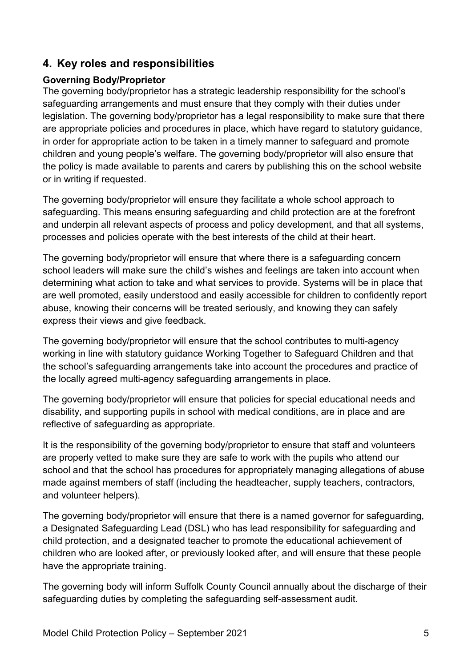# **4. Key roles and responsibilities**

#### **Governing Body/Proprietor**

The governing body/proprietor has a strategic leadership responsibility for the school's safeguarding arrangements and must ensure that they comply with their duties under legislation. The governing body/proprietor has a legal responsibility to make sure that there are appropriate policies and procedures in place, which have regard to statutory guidance, in order for appropriate action to be taken in a timely manner to safeguard and promote children and young people's welfare. The governing body/proprietor will also ensure that the policy is made available to parents and carers by publishing this on the school website or in writing if requested.

The governing body/proprietor will ensure they facilitate a whole school approach to safeguarding. This means ensuring safeguarding and child protection are at the forefront and underpin all relevant aspects of process and policy development, and that all systems, processes and policies operate with the best interests of the child at their heart.

The governing body/proprietor will ensure that where there is a safeguarding concern school leaders will make sure the child's wishes and feelings are taken into account when determining what action to take and what services to provide. Systems will be in place that are well promoted, easily understood and easily accessible for children to confidently report abuse, knowing their concerns will be treated seriously, and knowing they can safely express their views and give feedback.

The governing body/proprietor will ensure that the school contributes to multi-agency working in line with statutory guidance Working Together to Safeguard Children and that the school's safeguarding arrangements take into account the procedures and practice of the locally agreed multi-agency safeguarding arrangements in place.

The governing body/proprietor will ensure that policies for special educational needs and disability, and supporting pupils in school with medical conditions, are in place and are reflective of safeguarding as appropriate.

It is the responsibility of the governing body/proprietor to ensure that staff and volunteers are properly vetted to make sure they are safe to work with the pupils who attend our school and that the school has procedures for appropriately managing allegations of abuse made against members of staff (including the headteacher, supply teachers, contractors, and volunteer helpers).

The governing body/proprietor will ensure that there is a named governor for safeguarding, a Designated Safeguarding Lead (DSL) who has lead responsibility for safeguarding and child protection, and a designated teacher to promote the educational achievement of children who are looked after, or previously looked after, and will ensure that these people have the appropriate training.

The governing body will inform Suffolk County Council annually about the discharge of their safeguarding duties by completing the safeguarding self-assessment audit.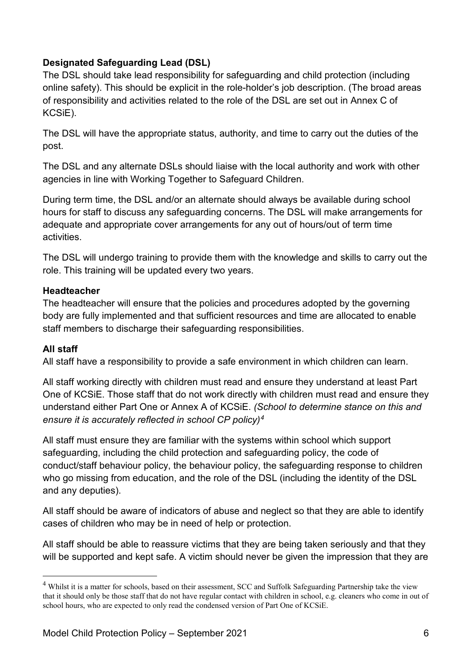#### **Designated Safeguarding Lead (DSL)**

The DSL should take lead responsibility for safeguarding and child protection (including online safety). This should be explicit in the role-holder's job description. (The broad areas of responsibility and activities related to the role of the DSL are set out in Annex C of KCSiE).

The DSL will have the appropriate status, authority, and time to carry out the duties of the post.

The DSL and any alternate DSLs should liaise with the local authority and work with other agencies in line with Working Together to Safeguard Children.

During term time, the DSL and/or an alternate should always be available during school hours for staff to discuss any safeguarding concerns. The DSL will make arrangements for adequate and appropriate cover arrangements for any out of hours/out of term time activities.

The DSL will undergo training to provide them with the knowledge and skills to carry out the role. This training will be updated every two years.

#### **Headteacher**

The headteacher will ensure that the policies and procedures adopted by the governing body are fully implemented and that sufficient resources and time are allocated to enable staff members to discharge their safeguarding responsibilities.

#### **All staff**

All staff have a responsibility to provide a safe environment in which children can learn.

All staff working directly with children must read and ensure they understand at least Part One of KCSiE. Those staff that do not work directly with children must read and ensure they understand either Part One or Annex A of KCSiE. *(School to determine stance on this and ensure it is accurately reflected in school CP policy)[4](#page-5-0)*

All staff must ensure they are familiar with the systems within school which support safeguarding, including the child protection and safeguarding policy, the code of conduct/staff behaviour policy, the behaviour policy, the safeguarding response to children who go missing from education, and the role of the DSL (including the identity of the DSL and any deputies).

All staff should be aware of indicators of abuse and neglect so that they are able to identify cases of children who may be in need of help or protection.

All staff should be able to reassure victims that they are being taken seriously and that they will be supported and kept safe. A victim should never be given the impression that they are

<span id="page-5-0"></span><sup>&</sup>lt;sup>4</sup> Whilst it is a matter for schools, based on their assessment, SCC and Suffolk Safeguarding Partnership take the view that it should only be those staff that do not have regular contact with children in school, e.g. cleaners who come in out of school hours, who are expected to only read the condensed version of Part One of KCSiE.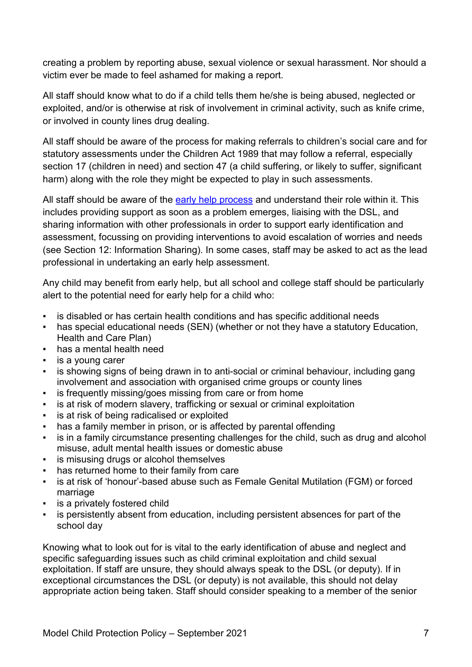creating a problem by reporting abuse, sexual violence or sexual harassment. Nor should a victim ever be made to feel ashamed for making a report.

All staff should know what to do if a child tells them he/she is being abused, neglected or exploited, and/or is otherwise at risk of involvement in criminal activity, such as knife crime, or involved in county lines drug dealing.

All staff should be aware of the process for making referrals to children's social care and for statutory assessments under the Children Act 1989 that may follow a referral, especially section 17 (children in need) and section 47 (a child suffering, or likely to suffer, significant harm) along with the role they might be expected to play in such assessments.

All staff should be aware of the [early help process](https://suffolksp.org.uk/working-with-children-and-adults/children/early-help/) and understand their role within it. This includes providing support as soon as a problem emerges, liaising with the DSL, and sharing information with other professionals in order to support early identification and assessment, focussing on providing interventions to avoid escalation of worries and needs (see Section 12: Information Sharing). In some cases, staff may be asked to act as the lead professional in undertaking an early help assessment.

Any child may benefit from early help, but all school and college staff should be particularly alert to the potential need for early help for a child who:

- is disabled or has certain health conditions and has specific additional needs
- has special educational needs (SEN) (whether or not they have a statutory Education, Health and Care Plan)
- has a mental health need
- is a young carer
- is showing signs of being drawn in to anti-social or criminal behaviour, including gang involvement and association with organised crime groups or county lines
- is frequently missing/goes missing from care or from home
- is at risk of modern slavery, trafficking or sexual or criminal exploitation
- is at risk of being radicalised or exploited
- has a family member in prison, or is affected by parental offending
- is in a family circumstance presenting challenges for the child, such as drug and alcohol misuse, adult mental health issues or domestic abuse
- **•** is misusing drugs or alcohol themselves
- has returned home to their family from care
- is at risk of 'honour'-based abuse such as Female Genital Mutilation (FGM) or forced marriage
- **•** is a privately fostered child
- is persistently absent from education, including persistent absences for part of the school day

Knowing what to look out for is vital to the early identification of abuse and neglect and specific safeguarding issues such as child criminal exploitation and child sexual exploitation. If staff are unsure, they should always speak to the DSL (or deputy). If in exceptional circumstances the DSL (or deputy) is not available, this should not delay appropriate action being taken. Staff should consider speaking to a member of the senior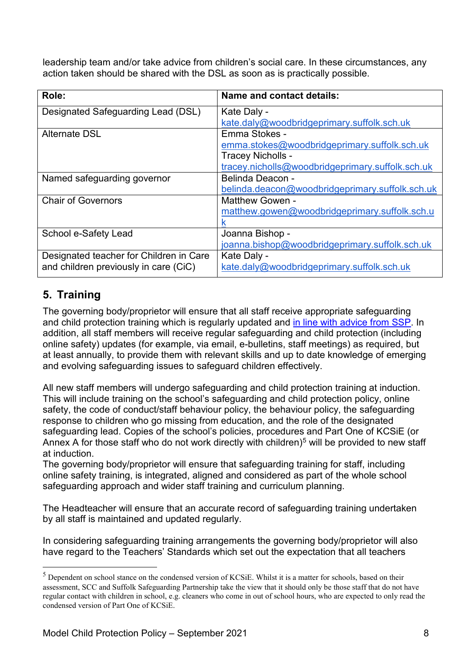leadership team and/or take advice from children's social care. In these circumstances, any action taken should be shared with the DSL as soon as is practically possible.

| Role:                                   | Name and contact details:                        |
|-----------------------------------------|--------------------------------------------------|
| Designated Safeguarding Lead (DSL)      | Kate Daly -                                      |
|                                         | kate.daly@woodbridgeprimary.suffolk.sch.uk       |
| <b>Alternate DSL</b>                    | Emma Stokes -                                    |
|                                         | emma.stokes@woodbridgeprimary.suffolk.sch.uk     |
|                                         | Tracey Nicholls -                                |
|                                         | tracey.nicholls@woodbridgeprimary.suffolk.sch.uk |
| Named safeguarding governor             | Belinda Deacon -                                 |
|                                         | belinda.deacon@woodbridgeprimary.suffolk.sch.uk  |
| <b>Chair of Governors</b>               | <b>Matthew Gowen -</b>                           |
|                                         | matthew.gowen@woodbridgeprimary.suffolk.sch.u    |
|                                         | κ                                                |
| School e-Safety Lead                    | Joanna Bishop -                                  |
|                                         | joanna.bishop@woodbridgeprimary.suffolk.sch.uk   |
| Designated teacher for Children in Care | Kate Daly -                                      |
| and children previously in care (CiC)   | kate.daly@woodbridgeprimary.suffolk.sch.uk       |

# **5. Training**

The governing body/proprietor will ensure that all staff receive appropriate safeguarding and child protection training which is regularly updated and [in line with advice from SSP.](https://suffolksp.org.uk/working-with-children-and-adults/children/early-help/) In addition, all staff members will receive regular safeguarding and child protection (including online safety) updates (for example, via email, e-bulletins, staff meetings) as required, but at least annually, to provide them with relevant skills and up to date knowledge of emerging and evolving safeguarding issues to safeguard children effectively.

All new staff members will undergo safeguarding and child protection training at induction. This will include training on the school's safeguarding and child protection policy, online safety, the code of conduct/staff behaviour policy, the behaviour policy, the safeguarding response to children who go missing from education, and the role of the designated safeguarding lead. Copies of the school's policies, procedures and Part One of KCSiE (or Annex A for those staff who do not work directly with children)<sup>[5](#page-7-0)</sup> will be provided to new staff at induction.

The governing body/proprietor will ensure that safeguarding training for staff, including online safety training, is integrated, aligned and considered as part of the whole school safeguarding approach and wider staff training and curriculum planning.

The Headteacher will ensure that an accurate record of safeguarding training undertaken by all staff is maintained and updated regularly.

In considering safeguarding training arrangements the governing body/proprietor will also have regard to the Teachers' Standards which set out the expectation that all teachers

<span id="page-7-0"></span><sup>&</sup>lt;sup>5</sup> Dependent on school stance on the condensed version of KCSiE. Whilst it is a matter for schools, based on their assessment, SCC and Suffolk Safeguarding Partnership take the view that it should only be those staff that do not have regular contact with children in school, e.g. cleaners who come in out of school hours, who are expected to only read the condensed version of Part One of KCSiE.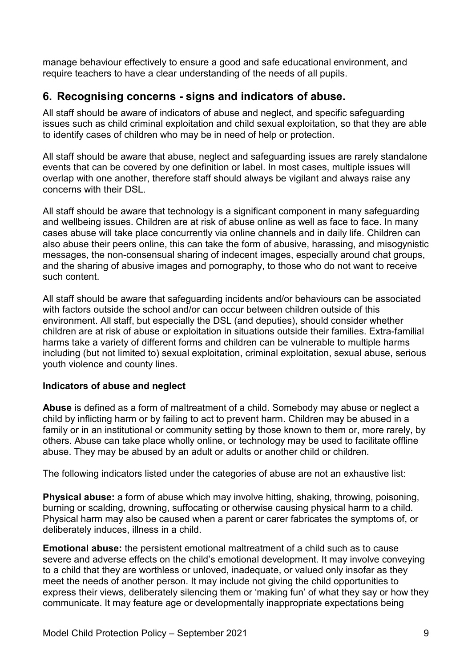manage behaviour effectively to ensure a good and safe educational environment, and require teachers to have a clear understanding of the needs of all pupils.

# **6. Recognising concerns - signs and indicators of abuse.**

All staff should be aware of indicators of abuse and neglect, and specific safeguarding issues such as child criminal exploitation and child sexual exploitation, so that they are able to identify cases of children who may be in need of help or protection.

All staff should be aware that abuse, neglect and safeguarding issues are rarely standalone events that can be covered by one definition or label. In most cases, multiple issues will overlap with one another, therefore staff should always be vigilant and always raise any concerns with their DSL.

All staff should be aware that technology is a significant component in many safeguarding and wellbeing issues. Children are at risk of abuse online as well as face to face. In many cases abuse will take place concurrently via online channels and in daily life. Children can also abuse their peers online, this can take the form of abusive, harassing, and misogynistic messages, the non-consensual sharing of indecent images, especially around chat groups, and the sharing of abusive images and pornography, to those who do not want to receive such content.

All staff should be aware that safeguarding incidents and/or behaviours can be associated with factors outside the school and/or can occur between children outside of this environment. All staff, but especially the DSL (and deputies), should consider whether children are at risk of abuse or exploitation in situations outside their families. Extra-familial harms take a variety of different forms and children can be vulnerable to multiple harms including (but not limited to) sexual exploitation, criminal exploitation, sexual abuse, serious youth violence and county lines.

#### **Indicators of abuse and neglect**

**Abuse** is defined as a form of maltreatment of a child. Somebody may abuse or neglect a child by inflicting harm or by failing to act to prevent harm. Children may be abused in a family or in an institutional or community setting by those known to them or, more rarely, by others. Abuse can take place wholly online, or technology may be used to facilitate offline abuse. They may be abused by an adult or adults or another child or children.

The following indicators listed under the categories of abuse are not an exhaustive list:

**Physical abuse:** a form of abuse which may involve hitting, shaking, throwing, poisoning, burning or scalding, drowning, suffocating or otherwise causing physical harm to a child. Physical harm may also be caused when a parent or carer fabricates the symptoms of, or deliberately induces, illness in a child.

**Emotional abuse:** the persistent emotional maltreatment of a child such as to cause severe and adverse effects on the child's emotional development. It may involve conveying to a child that they are worthless or unloved, inadequate, or valued only insofar as they meet the needs of another person. It may include not giving the child opportunities to express their views, deliberately silencing them or 'making fun' of what they say or how they communicate. It may feature age or developmentally inappropriate expectations being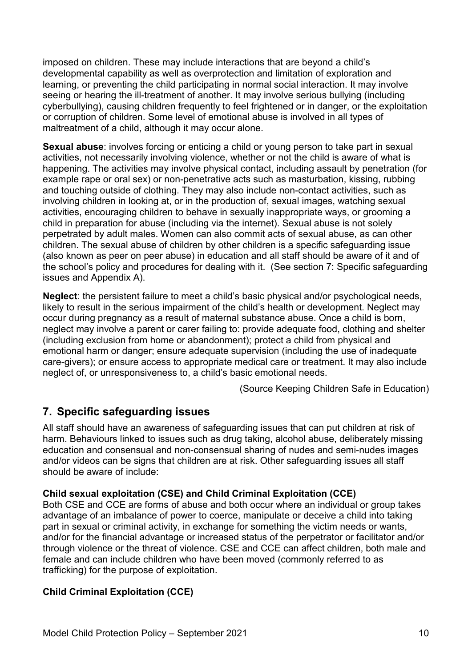imposed on children. These may include interactions that are beyond a child's developmental capability as well as overprotection and limitation of exploration and learning, or preventing the child participating in normal social interaction. It may involve seeing or hearing the ill-treatment of another. It may involve serious bullying (including cyberbullying), causing children frequently to feel frightened or in danger, or the exploitation or corruption of children. Some level of emotional abuse is involved in all types of maltreatment of a child, although it may occur alone.

**Sexual abuse**: involves forcing or enticing a child or young person to take part in sexual activities, not necessarily involving violence, whether or not the child is aware of what is happening. The activities may involve physical contact, including assault by penetration (for example rape or oral sex) or non-penetrative acts such as masturbation, kissing, rubbing and touching outside of clothing. They may also include non-contact activities, such as involving children in looking at, or in the production of, sexual images, watching sexual activities, encouraging children to behave in sexually inappropriate ways, or grooming a child in preparation for abuse (including via the internet). Sexual abuse is not solely perpetrated by adult males. Women can also commit acts of sexual abuse, as can other children. The sexual abuse of children by other children is a specific safeguarding issue (also known as peer on peer abuse) in education and all staff should be aware of it and of the school's policy and procedures for dealing with it. (See section 7: Specific safeguarding issues and Appendix A).

**Neglect**: the persistent failure to meet a child's basic physical and/or psychological needs, likely to result in the serious impairment of the child's health or development. Neglect may occur during pregnancy as a result of maternal substance abuse. Once a child is born, neglect may involve a parent or carer failing to: provide adequate food, clothing and shelter (including exclusion from home or abandonment); protect a child from physical and emotional harm or danger; ensure adequate supervision (including the use of inadequate care-givers); or ensure access to appropriate medical care or treatment. It may also include neglect of, or unresponsiveness to, a child's basic emotional needs.

(Source Keeping Children Safe in Education)

# **7. Specific safeguarding issues**

All staff should have an awareness of safeguarding issues that can put children at risk of harm. Behaviours linked to issues such as drug taking, alcohol abuse, deliberately missing education and consensual and non-consensual sharing of nudes and semi-nudes images and/or videos can be signs that children are at risk. Other safeguarding issues all staff should be aware of include:

#### **Child sexual exploitation (CSE) and Child Criminal Exploitation (CCE)**

Both CSE and CCE are forms of abuse and both occur where an individual or group takes advantage of an imbalance of power to coerce, manipulate or deceive a child into taking part in sexual or criminal activity, in exchange for something the victim needs or wants, and/or for the financial advantage or increased status of the perpetrator or facilitator and/or through violence or the threat of violence. CSE and CCE can affect children, both male and female and can include children who have been moved (commonly referred to as trafficking) for the purpose of exploitation.

#### **Child Criminal Exploitation (CCE)**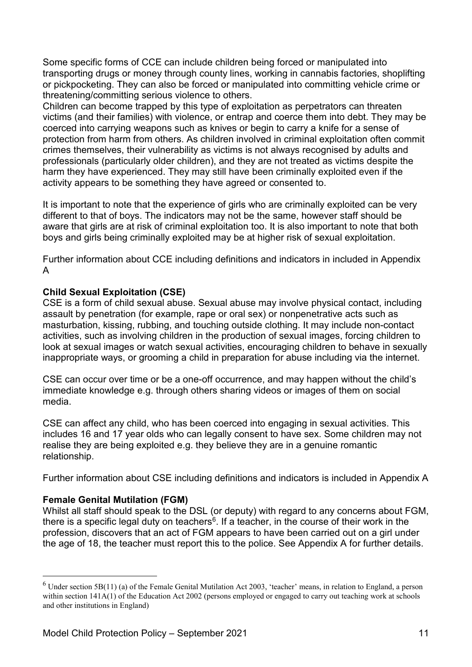Some specific forms of CCE can include children being forced or manipulated into transporting drugs or money through county lines, working in cannabis factories, shoplifting or pickpocketing. They can also be forced or manipulated into committing vehicle crime or threatening/committing serious violence to others.

Children can become trapped by this type of exploitation as perpetrators can threaten victims (and their families) with violence, or entrap and coerce them into debt. They may be coerced into carrying weapons such as knives or begin to carry a knife for a sense of protection from harm from others. As children involved in criminal exploitation often commit crimes themselves, their vulnerability as victims is not always recognised by adults and professionals (particularly older children), and they are not treated as victims despite the harm they have experienced. They may still have been criminally exploited even if the activity appears to be something they have agreed or consented to.

It is important to note that the experience of girls who are criminally exploited can be very different to that of boys. The indicators may not be the same, however staff should be aware that girls are at risk of criminal exploitation too. It is also important to note that both boys and girls being criminally exploited may be at higher risk of sexual exploitation.

Further information about CCE including definitions and indicators in included in Appendix A

#### **Child Sexual Exploitation (CSE)**

CSE is a form of child sexual abuse. Sexual abuse may involve physical contact, including assault by penetration (for example, rape or oral sex) or nonpenetrative acts such as masturbation, kissing, rubbing, and touching outside clothing. It may include non-contact activities, such as involving children in the production of sexual images, forcing children to look at sexual images or watch sexual activities, encouraging children to behave in sexually inappropriate ways, or grooming a child in preparation for abuse including via the internet.

CSE can occur over time or be a one-off occurrence, and may happen without the child's immediate knowledge e.g. through others sharing videos or images of them on social media.

CSE can affect any child, who has been coerced into engaging in sexual activities. This includes 16 and 17 year olds who can legally consent to have sex. Some children may not realise they are being exploited e.g. they believe they are in a genuine romantic relationship.

Further information about CSE including definitions and indicators is included in Appendix A

#### **Female Genital Mutilation (FGM)**

Whilst all staff should speak to the DSL (or deputy) with regard to any concerns about FGM, there is a specific legal duty on teachers<sup>[6](#page-10-0)</sup>. If a teacher, in the course of their work in the profession, discovers that an act of FGM appears to have been carried out on a girl under the age of 18, the teacher must report this to the police. See Appendix A for further details.

<span id="page-10-0"></span> $6$  Under section 5B(11) (a) of the Female Genital Mutilation Act 2003, 'teacher' means, in relation to England, a person within section 141A(1) of the Education Act 2002 (persons employed or engaged to carry out teaching work at schools and other institutions in England)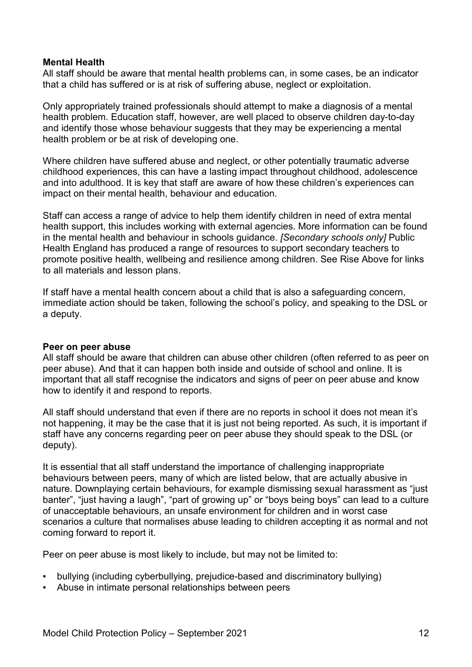#### **Mental Health**

All staff should be aware that mental health problems can, in some cases, be an indicator that a child has suffered or is at risk of suffering abuse, neglect or exploitation.

Only appropriately trained professionals should attempt to make a diagnosis of a mental health problem. Education staff, however, are well placed to observe children day-to-day and identify those whose behaviour suggests that they may be experiencing a mental health problem or be at risk of developing one.

Where children have suffered abuse and neglect, or other potentially traumatic adverse childhood experiences, this can have a lasting impact throughout childhood, adolescence and into adulthood. It is key that staff are aware of how these children's experiences can impact on their mental health, behaviour and education.

Staff can access a range of advice to help them identify children in need of extra mental health support, this includes working with external agencies. More information can be found in the mental health and behaviour in schools guidance. *[Secondary schools only]* Public Health England has produced a range of resources to support secondary teachers to promote positive health, wellbeing and resilience among children. See Rise Above for links to all materials and lesson plans.

If staff have a mental health concern about a child that is also a safeguarding concern, immediate action should be taken, following the school's policy, and speaking to the DSL or a deputy.

#### **Peer on peer abuse**

All staff should be aware that children can abuse other children (often referred to as peer on peer abuse). And that it can happen both inside and outside of school and online. It is important that all staff recognise the indicators and signs of peer on peer abuse and know how to identify it and respond to reports.

All staff should understand that even if there are no reports in school it does not mean it's not happening, it may be the case that it is just not being reported. As such, it is important if staff have any concerns regarding peer on peer abuse they should speak to the DSL (or deputy).

It is essential that all staff understand the importance of challenging inappropriate behaviours between peers, many of which are listed below, that are actually abusive in nature. Downplaying certain behaviours, for example dismissing sexual harassment as "just banter", "just having a laugh", "part of growing up" or "boys being boys" can lead to a culture of unacceptable behaviours, an unsafe environment for children and in worst case scenarios a culture that normalises abuse leading to children accepting it as normal and not coming forward to report it.

Peer on peer abuse is most likely to include, but may not be limited to:

- bullying (including cyberbullying, prejudice-based and discriminatory bullying)
- Abuse in intimate personal relationships between peers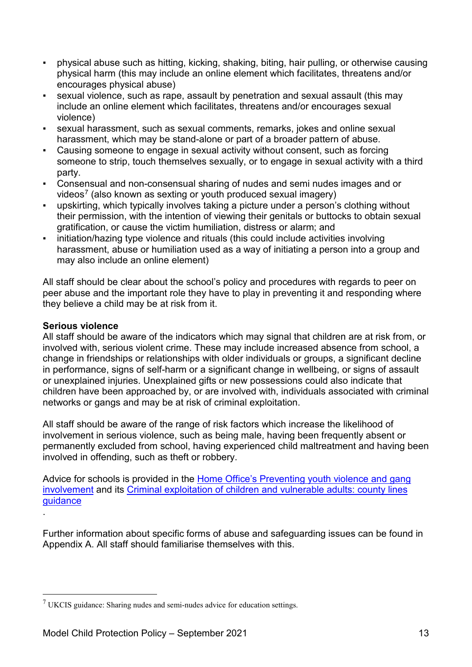- physical abuse such as hitting, kicking, shaking, biting, hair pulling, or otherwise causing physical harm (this may include an online element which facilitates, threatens and/or encourages physical abuse)
- sexual violence, such as rape, assault by penetration and sexual assault (this may include an online element which facilitates, threatens and/or encourages sexual violence)
- sexual harassment, such as sexual comments, remarks, jokes and online sexual harassment, which may be stand-alone or part of a broader pattern of abuse.
- Causing someone to engage in sexual activity without consent, such as forcing someone to strip, touch themselves sexually, or to engage in sexual activity with a third party.
- Consensual and non-consensual sharing of nudes and semi nudes images and or videos<sup>[7](#page-12-0)</sup> (also known as sexting or youth produced sexual imagery)
- upskirting, which typically involves taking a picture under a person's clothing without their permission, with the intention of viewing their genitals or buttocks to obtain sexual gratification, or cause the victim humiliation, distress or alarm; and
- initiation/hazing type violence and rituals (this could include activities involving harassment, abuse or humiliation used as a way of initiating a person into a group and may also include an online element)

All staff should be clear about the school's policy and procedures with regards to peer on peer abuse and the important role they have to play in preventing it and responding where they believe a child may be at risk from it.

#### **Serious violence**

.

All staff should be aware of the indicators which may signal that children are at risk from, or involved with, serious violent crime. These may include increased absence from school, a change in friendships or relationships with older individuals or groups, a significant decline in performance, signs of self-harm or a significant change in wellbeing, or signs of assault or unexplained injuries. Unexplained gifts or new possessions could also indicate that children have been approached by, or are involved with, individuals associated with criminal networks or gangs and may be at risk of criminal exploitation.

All staff should be aware of the range of risk factors which increase the likelihood of involvement in serious violence, such as being male, having been frequently absent or permanently excluded from school, having experienced child maltreatment and having been involved in offending, such as theft or robbery.

Advice for schools is provided in the [Home Office's Preventing youth violence and gang](https://assets.publishing.service.gov.uk/government/uploads/system/uploads/attachment_data/file/418131/Preventing_youth_violence_and_gang_involvement_v3_March2015.pdf)  [involvement](https://assets.publishing.service.gov.uk/government/uploads/system/uploads/attachment_data/file/418131/Preventing_youth_violence_and_gang_involvement_v3_March2015.pdf) and its [Criminal exploitation of children and vulnerable adults: county lines](https://www.gov.uk/government/publications/criminal-exploitation-of-children-and-vulnerable-adults-county-lines)  [guidance](https://www.gov.uk/government/publications/criminal-exploitation-of-children-and-vulnerable-adults-county-lines)

Further information about specific forms of abuse and safeguarding issues can be found in Appendix A. All staff should familiarise themselves with this.

<span id="page-12-0"></span> $7$  UKCIS guidance: Sharing nudes and semi-nudes advice for education settings.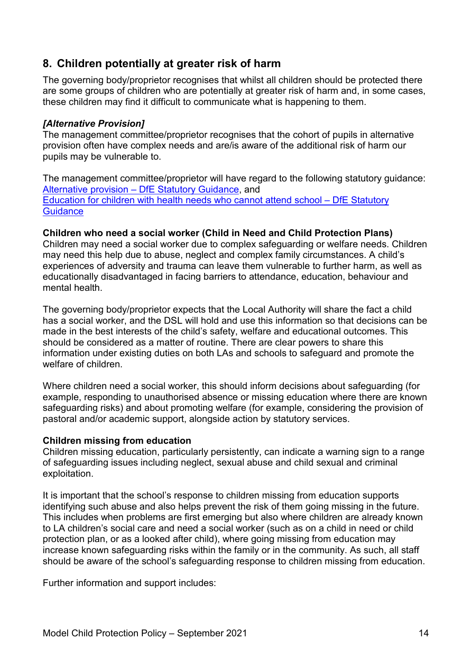# **8. Children potentially at greater risk of harm**

The governing body/proprietor recognises that whilst all children should be protected there are some groups of children who are potentially at greater risk of harm and, in some cases, these children may find it difficult to communicate what is happening to them.

#### *[Alternative Provision]*

The management committee/proprietor recognises that the cohort of pupils in alternative provision often have complex needs and are/is aware of the additional risk of harm our pupils may be vulnerable to.

The management committee/proprietor will have regard to the following statutory guidance: Alternative provision – [DfE Statutory Guidance,](https://assets.publishing.service.gov.uk/government/uploads/system/uploads/attachment_data/file/942014/alternative_provision_statutory_guidance_accessible.pdf) and [Education for children with health needs who cannot attend school –](https://assets.publishing.service.gov.uk/government/uploads/system/uploads/attachment_data/file/941900/health_needs_guidance_accessible.pdf) DfE Statutory **[Guidance](https://assets.publishing.service.gov.uk/government/uploads/system/uploads/attachment_data/file/941900/health_needs_guidance_accessible.pdf)** 

#### **Children who need a social worker (Child in Need and Child Protection Plans)**

Children may need a social worker due to complex safeguarding or welfare needs. Children may need this help due to abuse, neglect and complex family circumstances. A child's experiences of adversity and trauma can leave them vulnerable to further harm, as well as educationally disadvantaged in facing barriers to attendance, education, behaviour and mental health.

The governing body/proprietor expects that the Local Authority will share the fact a child has a social worker, and the DSL will hold and use this information so that decisions can be made in the best interests of the child's safety, welfare and educational outcomes. This should be considered as a matter of routine. There are clear powers to share this information under existing duties on both LAs and schools to safeguard and promote the welfare of children.

Where children need a social worker, this should inform decisions about safeguarding (for example, responding to unauthorised absence or missing education where there are known safeguarding risks) and about promoting welfare (for example, considering the provision of pastoral and/or academic support, alongside action by statutory services.

#### **Children missing from education**

Children missing education, particularly persistently, can indicate a warning sign to a range of safeguarding issues including neglect, sexual abuse and child sexual and criminal exploitation.

It is important that the school's response to children missing from education supports identifying such abuse and also helps prevent the risk of them going missing in the future. This includes when problems are first emerging but also where children are already known to LA children's social care and need a social worker (such as on a child in need or child protection plan, or as a looked after child), where going missing from education may increase known safeguarding risks within the family or in the community. As such, all staff should be aware of the school's safeguarding response to children missing from education.

Further information and support includes: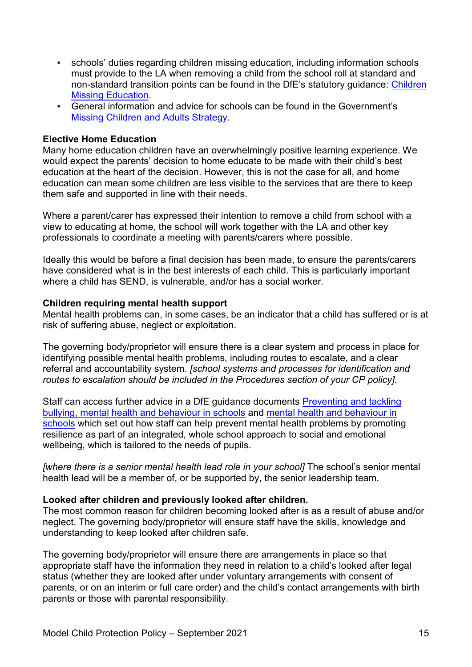- schools' duties regarding children missing education, including information schools must provide to the LA when removing a child from the school roll at standard and non-standard transition points can be found in the DfE's statutory guidance: [Children](https://assets.publishing.service.gov.uk/government/uploads/system/uploads/attachment_data/file/550416/Children_Missing_Education_-_statutory_guidance.pdf)  [Missing Education.](https://assets.publishing.service.gov.uk/government/uploads/system/uploads/attachment_data/file/550416/Children_Missing_Education_-_statutory_guidance.pdf)
- General information and advice for schools can be found in the Government's [Missing Children and Adults Strategy.](https://assets.publishing.service.gov.uk/government/uploads/system/uploads/attachment_data/file/117793/missing-persons-strategy.pdf)

#### **Elective Home Education**

Many home education children have an overwhelmingly positive learning experience. We would expect the parents' decision to home educate to be made with their child's best education at the heart of the decision. However, this is not the case for all, and home education can mean some children are less visible to the services that are there to keep them safe and supported in line with their needs.

Where a parent/carer has expressed their intention to remove a child from school with a view to educating at home, the school will work together with the LA and other key professionals to coordinate a meeting with parents/carers where possible.

Ideally this would be before a final decision has been made, to ensure the parents/carers have considered what is in the best interests of each child. This is particularly important where a child has SEND, is vulnerable, and/or has a social worker.

#### **Children requiring mental health support**

Mental health problems can, in some cases, be an indicator that a child has suffered or is at risk of suffering abuse, neglect or exploitation.

The governing body/proprietor will ensure there is a clear system and process in place for identifying possible mental health problems, including routes to escalate, and a clear referral and accountability system. *[school systems and processes for identification and routes to escalation should be included in the Procedures section of your CP policy].*

Staff can access further advice in a DfE guidance documents [Preventing and tackling](https://assets.publishing.service.gov.uk/government/uploads/system/uploads/attachment_data/file/623895/Preventing_and_tackling_bullying_advice.pdf)  [bullying, mental health and behaviour in schools](https://assets.publishing.service.gov.uk/government/uploads/system/uploads/attachment_data/file/623895/Preventing_and_tackling_bullying_advice.pdf) and [mental health and behaviour in](https://assets.publishing.service.gov.uk/government/uploads/system/uploads/attachment_data/file/755135/Mental_health_and_behaviour_in_schools__.pdf)  [schools](https://assets.publishing.service.gov.uk/government/uploads/system/uploads/attachment_data/file/755135/Mental_health_and_behaviour_in_schools__.pdf) which set out how staff can help prevent mental health problems by promoting resilience as part of an integrated, whole school approach to social and emotional wellbeing, which is tailored to the needs of pupils.

*[where there is a senior mental health lead role in your school]* The school's senior mental health lead will be a member of, or be supported by, the senior leadership team.

#### **Looked after children and previously looked after children.**

The most common reason for children becoming looked after is as a result of abuse and/or neglect. The governing body/proprietor will ensure staff have the skills, knowledge and understanding to keep looked after children safe.

The governing body/proprietor will ensure there are arrangements in place so that appropriate staff have the information they need in relation to a child's looked after legal status (whether they are looked after under voluntary arrangements with consent of parents, or on an interim or full care order) and the child's contact arrangements with birth parents or those with parental responsibility.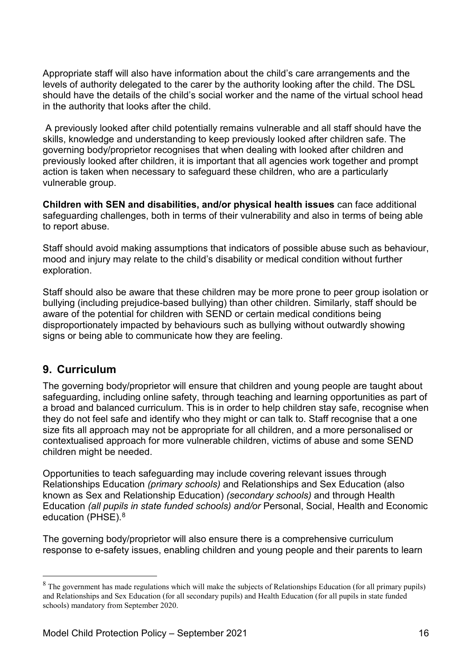Appropriate staff will also have information about the child's care arrangements and the levels of authority delegated to the carer by the authority looking after the child. The DSL should have the details of the child's social worker and the name of the virtual school head in the authority that looks after the child.

A previously looked after child potentially remains vulnerable and all staff should have the skills, knowledge and understanding to keep previously looked after children safe. The governing body/proprietor recognises that when dealing with looked after children and previously looked after children, it is important that all agencies work together and prompt action is taken when necessary to safeguard these children, who are a particularly vulnerable group.

**Children with SEN and disabilities, and/or physical health issues** can face additional safeguarding challenges, both in terms of their vulnerability and also in terms of being able to report abuse.

Staff should avoid making assumptions that indicators of possible abuse such as behaviour, mood and injury may relate to the child's disability or medical condition without further exploration.

Staff should also be aware that these children may be more prone to peer group isolation or bullying (including prejudice-based bullying) than other children. Similarly, staff should be aware of the potential for children with SEND or certain medical conditions being disproportionately impacted by behaviours such as bullying without outwardly showing signs or being able to communicate how they are feeling.

#### **9. Curriculum**

The governing body/proprietor will ensure that children and young people are taught about safeguarding, including online safety, through teaching and learning opportunities as part of a broad and balanced curriculum. This is in order to help children stay safe, recognise when they do not feel safe and identify who they might or can talk to. Staff recognise that a one size fits all approach may not be appropriate for all children, and a more personalised or contextualised approach for more vulnerable children, victims of abuse and some SEND children might be needed.

Opportunities to teach safeguarding may include covering relevant issues through Relationships Education *(primary schools)* and Relationships and Sex Education (also known as Sex and Relationship Education) *(secondary schools)* and through Health Education *(all pupils in state funded schools) and/or* Personal, Social, Health and Economic education (PHSE).<sup>[8](#page-15-0)</sup>

The governing body/proprietor will also ensure there is a comprehensive curriculum response to e-safety issues, enabling children and young people and their parents to learn

<span id="page-15-0"></span><sup>&</sup>lt;sup>8</sup> The government has made regulations which will make the subjects of Relationships Education (for all primary pupils) and Relationships and Sex Education (for all secondary pupils) and Health Education (for all pupils in state funded schools) mandatory from September 2020.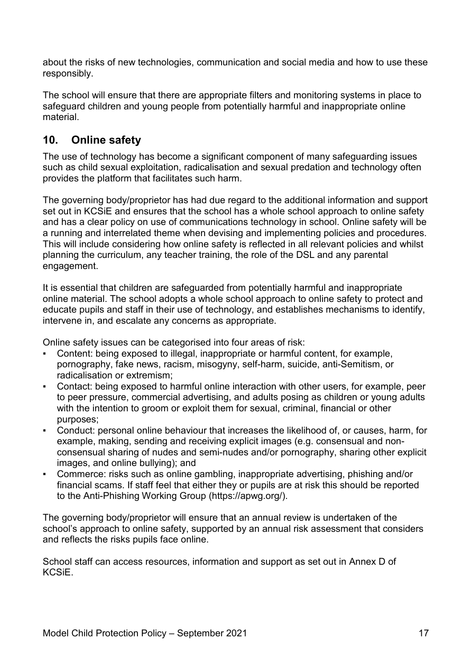about the risks of new technologies, communication and social media and how to use these responsibly.

The school will ensure that there are appropriate filters and monitoring systems in place to safeguard children and young people from potentially harmful and inappropriate online material.

# **10. Online safety**

The use of technology has become a significant component of many safeguarding issues such as child sexual exploitation, radicalisation and sexual predation and technology often provides the platform that facilitates such harm.

The governing body/proprietor has had due regard to the additional information and support set out in KCSiE and ensures that the school has a whole school approach to online safety and has a clear policy on use of communications technology in school. Online safety will be a running and interrelated theme when devising and implementing policies and procedures. This will include considering how online safety is reflected in all relevant policies and whilst planning the curriculum, any teacher training, the role of the DSL and any parental engagement.

It is essential that children are safeguarded from potentially harmful and inappropriate online material. The school adopts a whole school approach to online safety to protect and educate pupils and staff in their use of technology, and establishes mechanisms to identify, intervene in, and escalate any concerns as appropriate.

Online safety issues can be categorised into four areas of risk:

- Content: being exposed to illegal, inappropriate or harmful content, for example, pornography, fake news, racism, misogyny, self-harm, suicide, anti-Semitism, or radicalisation or extremism;
- Contact: being exposed to harmful online interaction with other users, for example, peer to peer pressure, commercial advertising, and adults posing as children or young adults with the intention to groom or exploit them for sexual, criminal, financial or other purposes;
- Conduct: personal online behaviour that increases the likelihood of, or causes, harm, for example, making, sending and receiving explicit images (e.g. consensual and nonconsensual sharing of nudes and semi-nudes and/or pornography, sharing other explicit images, and online bullying); and
- Commerce: risks such as online gambling, inappropriate advertising, phishing and/or financial scams. If staff feel that either they or pupils are at risk this should be reported to the Anti-Phishing Working Group (https://apwg.org/).

The governing body/proprietor will ensure that an annual review is undertaken of the school's approach to online safety, supported by an annual risk assessment that considers and reflects the risks pupils face online.

School staff can access resources, information and support as set out in Annex D of **KCSIF**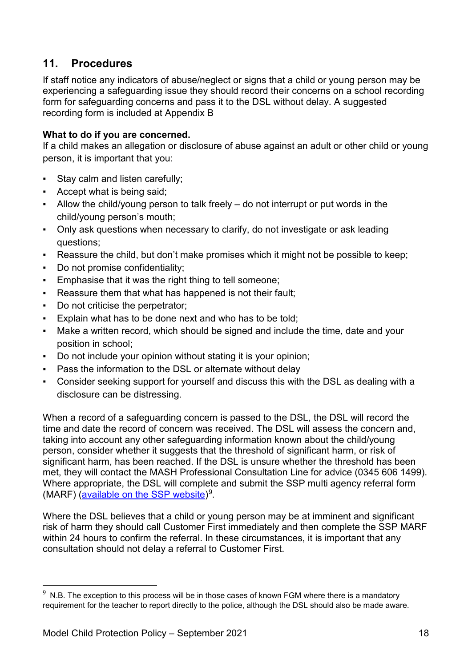# **11. Procedures**

If staff notice any indicators of abuse/neglect or signs that a child or young person may be experiencing a safeguarding issue they should record their concerns on a school recording form for safeguarding concerns and pass it to the DSL without delay. A suggested recording form is included at Appendix B

#### **What to do if you are concerned.**

If a child makes an allegation or disclosure of abuse against an adult or other child or young person, it is important that you:

- Stay calm and listen carefully;
- Accept what is being said;
- Allow the child/young person to talk freely do not interrupt or put words in the child/young person's mouth;
- Only ask questions when necessary to clarify, do not investigate or ask leading questions;
- Reassure the child, but don't make promises which it might not be possible to keep;
- Do not promise confidentiality;
- Emphasise that it was the right thing to tell someone;
- Reassure them that what has happened is not their fault;
- Do not criticise the perpetrator;
- Explain what has to be done next and who has to be told:
- Make a written record, which should be signed and include the time, date and your position in school;
- Do not include your opinion without stating it is your opinion;
- Pass the information to the DSL or alternate without delay
- Consider seeking support for yourself and discuss this with the DSL as dealing with a disclosure can be distressing.

When a record of a safeguarding concern is passed to the DSL, the DSL will record the time and date the record of concern was received. The DSL will assess the concern and, taking into account any other safeguarding information known about the child/young person, consider whether it suggests that the threshold of significant harm, or risk of significant harm, has been reached. If the DSL is unsure whether the threshold has been met, they will contact the MASH Professional Consultation Line for advice (0345 606 1499). Where appropriate, the DSL will complete and submit the SSP multi agency referral form (MARF) [\(available on the SSP website\)](https://earlyhelpportal.suffolk.gov.uk/web/portal/pages/marf#h1)<sup>9</sup>.

Where the DSL believes that a child or young person may be at imminent and significant risk of harm they should call Customer First immediately and then complete the SSP MARF within 24 hours to confirm the referral. In these circumstances, it is important that any consultation should not delay a referral to Customer First.

<span id="page-17-0"></span><sup>–&</sup>lt;br>9 N.B. The exception to this process will be in those cases of known FGM where there is a mandatory requirement for the teacher to report directly to the police, although the DSL should also be made aware.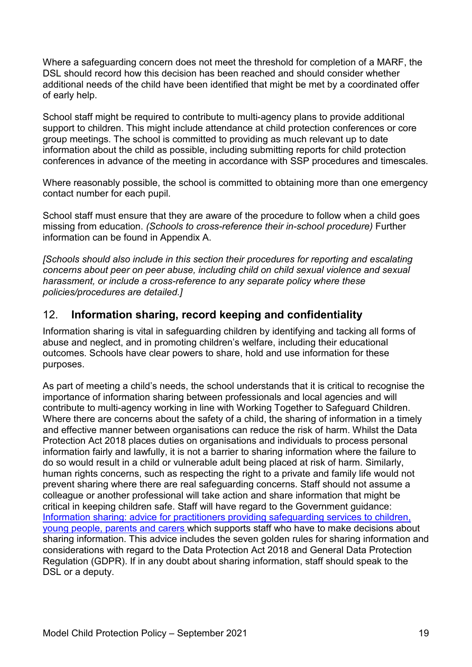Where a safeguarding concern does not meet the threshold for completion of a MARF, the DSL should record how this decision has been reached and should consider whether additional needs of the child have been identified that might be met by a coordinated offer of early help.

School staff might be required to contribute to multi-agency plans to provide additional support to children. This might include attendance at child protection conferences or core group meetings. The school is committed to providing as much relevant up to date information about the child as possible, including submitting reports for child protection conferences in advance of the meeting in accordance with SSP procedures and timescales.

Where reasonably possible, the school is committed to obtaining more than one emergency contact number for each pupil.

School staff must ensure that they are aware of the procedure to follow when a child goes missing from education. *(Schools to cross-reference their in-school procedure)* Further information can be found in Appendix A.

*[Schools should also include in this section their procedures for reporting and escalating concerns about peer on peer abuse, including child on child sexual violence and sexual harassment, or include a cross-reference to any separate policy where these policies/procedures are detailed.]*

# 12. **Information sharing, record keeping and confidentiality**

Information sharing is vital in safeguarding children by identifying and tacking all forms of abuse and neglect, and in promoting children's welfare, including their educational outcomes. Schools have clear powers to share, hold and use information for these purposes.

As part of meeting a child's needs, the school understands that it is critical to recognise the importance of information sharing between professionals and local agencies and will contribute to multi-agency working in line with Working Together to Safeguard Children. Where there are concerns about the safety of a child, the sharing of information in a timely and effective manner between organisations can reduce the risk of harm. Whilst the Data Protection Act 2018 places duties on organisations and individuals to process personal information fairly and lawfully, it is not a barrier to sharing information where the failure to do so would result in a child or vulnerable adult being placed at risk of harm. Similarly, human rights concerns, such as respecting the right to a private and family life would not prevent sharing where there are real safeguarding concerns. Staff should not assume a colleague or another professional will take action and share information that might be critical in keeping children safe. Staff will have regard to the Government guidance: [Information sharing: advice for practitioners providing safeguarding](https://assets.publishing.service.gov.uk/government/uploads/system/uploads/attachment_data/file/721581/Information_sharing_advice_practitioners_safeguarding_services.pdf) services to children, [young people, parents and carers w](https://assets.publishing.service.gov.uk/government/uploads/system/uploads/attachment_data/file/721581/Information_sharing_advice_practitioners_safeguarding_services.pdf)hich supports staff who have to make decisions about sharing information. This advice includes the seven golden rules for sharing information and considerations with regard to the Data Protection Act 2018 and General Data Protection Regulation (GDPR). If in any doubt about sharing information, staff should speak to the DSL or a deputy.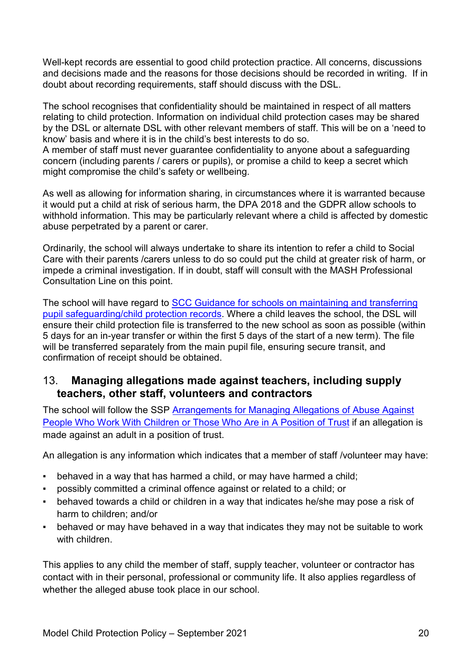Well-kept records are essential to good child protection practice. All concerns, discussions and decisions made and the reasons for those decisions should be recorded in writing. If in doubt about recording requirements, staff should discuss with the DSL.

The school recognises that confidentiality should be maintained in respect of all matters relating to child protection. Information on individual child protection cases may be shared by the DSL or alternate DSL with other relevant members of staff. This will be on a 'need to know' basis and where it is in the child's best interests to do so. A member of staff must never guarantee confidentiality to anyone about a safeguarding concern (including parents / carers or pupils), or promise a child to keep a secret which might compromise the child's safety or wellbeing.

As well as allowing for information sharing, in circumstances where it is warranted because it would put a child at risk of serious harm, the DPA 2018 and the GDPR allow schools to withhold information. This may be particularly relevant where a child is affected by domestic abuse perpetrated by a parent or carer.

Ordinarily, the school will always undertake to share its intention to refer a child to Social Care with their parents /carers unless to do so could put the child at greater risk of harm, or impede a criminal investigation. If in doubt, staff will consult with the MASH Professional Consultation Line on this point.

The school will have regard to [SCC Guidance for schools on maintaining and transferring](about:blank)  [pupil safeguarding/child protection records.](about:blank) Where a child leaves the school, the DSL will ensure their child protection file is transferred to the new school as soon as possible (within 5 days for an in-year transfer or within the first 5 days of the start of a new term). The file will be transferred separately from the main pupil file, ensuring secure transit, and confirmation of receipt should be obtained.

# 13. **Managing allegations made against teachers, including supply teachers, other staff, volunteers and contractors**

The school will follow the SSP [Arrangements for Managing Allegations of Abuse Against](https://suffolksp.org.uk/assets/Working-with-Children-Adults/LADO/2019-12-10-Arrangements-for-Managing-Allegations-of-Abuse-v9.pdf)  [People Who Work With Children or Those Who Are in A Position of Trust](https://suffolksp.org.uk/assets/Working-with-Children-Adults/LADO/2019-12-10-Arrangements-for-Managing-Allegations-of-Abuse-v9.pdf) if an allegation is made against an adult in a position of trust.

An allegation is any information which indicates that a member of staff /volunteer may have:

- behaved in a way that has harmed a child, or may have harmed a child;
- possibly committed a criminal offence against or related to a child; or
- behaved towards a child or children in a way that indicates he/she may pose a risk of harm to children; and/or
- behaved or may have behaved in a way that indicates they may not be suitable to work with children.

This applies to any child the member of staff, supply teacher, volunteer or contractor has contact with in their personal, professional or community life. It also applies regardless of whether the alleged abuse took place in our school.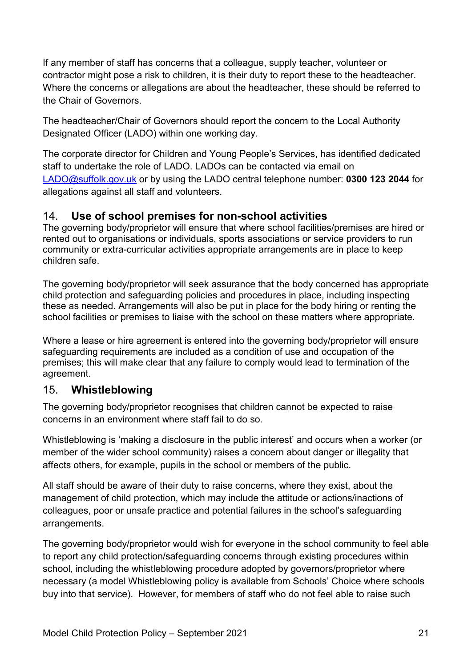If any member of staff has concerns that a colleague, supply teacher, volunteer or contractor might pose a risk to children, it is their duty to report these to the headteacher. Where the concerns or allegations are about the headteacher, these should be referred to the Chair of Governors.

The headteacher/Chair of Governors should report the concern to the Local Authority Designated Officer (LADO) within one working day.

The corporate director for Children and Young People's Services, has identified dedicated staff to undertake the role of LADO. LADOs can be contacted via email on [LADO@suffolk.gov.uk](mailto:LADO@suffolk.gov.uk) or by using the LADO central telephone number: **0300 123 2044** for allegations against all staff and volunteers.

# 14. **Use of school premises for non-school activities**

The governing body/proprietor will ensure that where school facilities/premises are hired or rented out to organisations or individuals, sports associations or service providers to run community or extra-curricular activities appropriate arrangements are in place to keep children safe.

The governing body/proprietor will seek assurance that the body concerned has appropriate child protection and safeguarding policies and procedures in place, including inspecting these as needed. Arrangements will also be put in place for the body hiring or renting the school facilities or premises to liaise with the school on these matters where appropriate.

Where a lease or hire agreement is entered into the governing body/proprietor will ensure safeguarding requirements are included as a condition of use and occupation of the premises; this will make clear that any failure to comply would lead to termination of the agreement.

# 15. **Whistleblowing**

The governing body/proprietor recognises that children cannot be expected to raise concerns in an environment where staff fail to do so.

Whistleblowing is 'making a disclosure in the public interest' and occurs when a worker (or member of the wider school community) raises a concern about danger or illegality that affects others, for example, pupils in the school or members of the public.

All staff should be aware of their duty to raise concerns, where they exist, about the management of child protection, which may include the attitude or actions/inactions of colleagues, poor or unsafe practice and potential failures in the school's safeguarding arrangements.

The governing body/proprietor would wish for everyone in the school community to feel able to report any child protection/safeguarding concerns through existing procedures within school, including the whistleblowing procedure adopted by governors/proprietor where necessary (a model Whistleblowing policy is available from Schools' Choice where schools buy into that service). However, for members of staff who do not feel able to raise such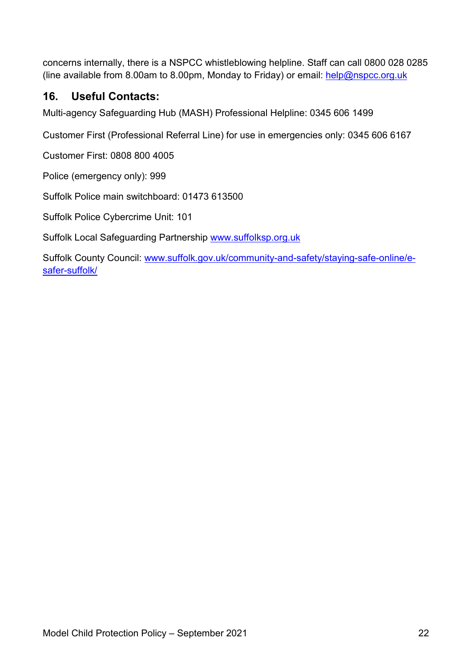concerns internally, there is a NSPCC whistleblowing helpline. Staff can call 0800 028 0285 (line available from 8.00am to 8.00pm, Monday to Friday) or email:  $help@nspec.org.uk$ 

# **16. Useful Contacts:**

Multi-agency Safeguarding Hub (MASH) Professional Helpline: [0345 606 1499](about:blank)

Customer First (Professional Referral Line) for use in emergencies only: [0345 606 6167](about:blank)

Customer First: 0808 800 4005

Police (emergency only): 999

Suffolk Police main switchboard: 01473 613500

Suffolk Police Cybercrime Unit: 101

Suffolk Local Safeguarding Partnership [www.suffolksp.org.uk](http://www.suffolksp.org.uk/)

Suffolk County Council: [www.suffolk.gov.uk/community-and-safety/staying-safe-online/e](http://www.suffolk.gov.uk/community-and-safety/staying-safe-online/e-safer-suffolk/)[safer-suffolk/](http://www.suffolk.gov.uk/community-and-safety/staying-safe-online/e-safer-suffolk/)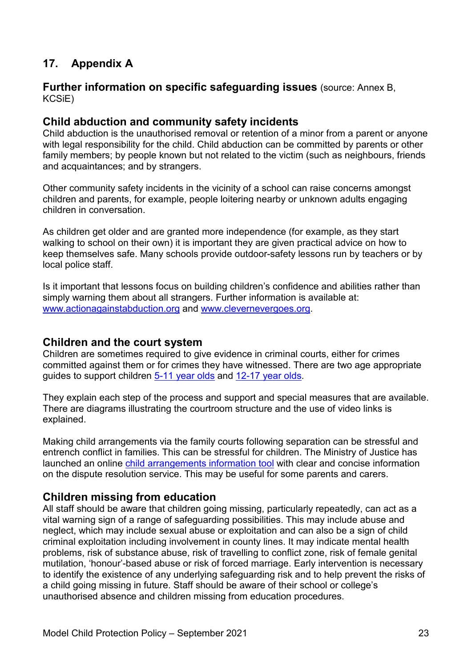# **17. Appendix A**

#### **Further information on specific safeguarding issues** (source: Annex B, KCSiE)

#### **Child abduction and community safety incidents**

Child abduction is the unauthorised removal or retention of a minor from a parent or anyone with legal responsibility for the child. Child abduction can be committed by parents or other family members; by people known but not related to the victim (such as neighbours, friends and acquaintances; and by strangers.

Other community safety incidents in the vicinity of a school can raise concerns amongst children and parents, for example, people loitering nearby or unknown adults engaging children in conversation.

As children get older and are granted more independence (for example, as they start walking to school on their own) it is important they are given practical advice on how to keep themselves safe. Many schools provide outdoor-safety lessons run by teachers or by local police staff.

Is it important that lessons focus on building children's confidence and abilities rather than simply warning them about all strangers. Further information is available at: [www.actionagainstabduction.org](http://www.actionagainstabduction.org/) and [www.clevernevergoes.org.](https://clevernevergoes.org/)

#### **Children and the court system**

Children are sometimes required to give evidence in criminal courts, either for crimes committed against them or for crimes they have witnessed. There are two age appropriate guides to support children [5-11 year olds](https://www.gov.uk/government/publications/young-witness-booklet-for-5-to-11-year-olds) and [12-17 year olds.](https://www.gov.uk/government/publications/young-witness-booklet-for-12-to-17-year-olds)

They explain each step of the process and support and special measures that are available. There are diagrams illustrating the courtroom structure and the use of video links is explained.

Making child arrangements via the family courts following separation can be stressful and entrench conflict in families. This can be stressful for children. The Ministry of Justice has launched an online [child arrangements information tool](https://helpwithchildarrangements.service.justice.gov.uk/) with clear and concise information on the dispute resolution service. This may be useful for some parents and carers.

#### **Children missing from education**

All staff should be aware that children going missing, particularly repeatedly, can act as a vital warning sign of a range of safeguarding possibilities. This may include abuse and neglect, which may include sexual abuse or exploitation and can also be a sign of child criminal exploitation including involvement in county lines. It may indicate mental health problems, risk of substance abuse, risk of travelling to conflict zone, risk of female genital mutilation, 'honour'-based abuse or risk of forced marriage. Early intervention is necessary to identify the existence of any underlying safeguarding risk and to help prevent the risks of a child going missing in future. Staff should be aware of their school or college's unauthorised absence and children missing from education procedures.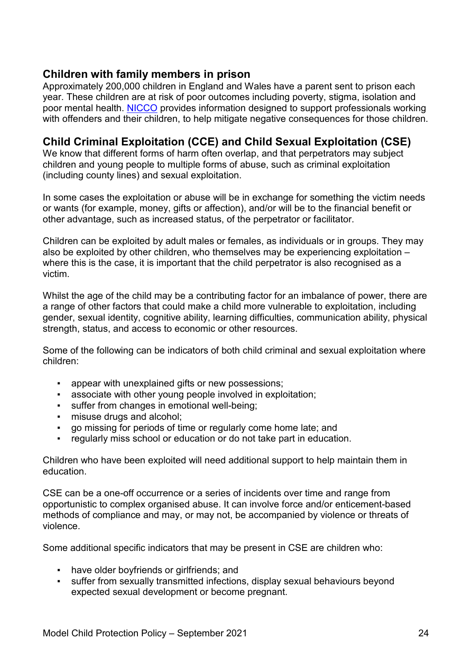#### **Children with family members in prison**

Approximately 200,000 children in England and Wales have a parent sent to prison each year. These children are at risk of poor outcomes including poverty, stigma, isolation and poor mental health. [NICCO](https://www.nicco.org.uk/) provides information designed to support professionals working with offenders and their children, to help mitigate negative consequences for those children.

### **Child Criminal Exploitation (CCE) and Child Sexual Exploitation (CSE)**

We know that different forms of harm often overlap, and that perpetrators may subject children and young people to multiple forms of abuse, such as criminal exploitation (including county lines) and sexual exploitation.

In some cases the exploitation or abuse will be in exchange for something the victim needs or wants (for example, money, gifts or affection), and/or will be to the financial benefit or other advantage, such as increased status, of the perpetrator or facilitator.

Children can be exploited by adult males or females, as individuals or in groups. They may also be exploited by other children, who themselves may be experiencing exploitation – where this is the case, it is important that the child perpetrator is also recognised as a victim.

Whilst the age of the child may be a contributing factor for an imbalance of power, there are a range of other factors that could make a child more vulnerable to exploitation, including gender, sexual identity, cognitive ability, learning difficulties, communication ability, physical strength, status, and access to economic or other resources.

Some of the following can be indicators of both child criminal and sexual exploitation where children:

- appear with unexplained gifts or new possessions;
- **EXE** associate with other young people involved in exploitation;
- suffer from changes in emotional well-being;
- **•** misuse drugs and alcohol;
- go missing for periods of time or regularly come home late; and
- regularly miss school or education or do not take part in education.

Children who have been exploited will need additional support to help maintain them in education.

CSE can be a one-off occurrence or a series of incidents over time and range from opportunistic to complex organised abuse. It can involve force and/or enticement-based methods of compliance and may, or may not, be accompanied by violence or threats of violence.

Some additional specific indicators that may be present in CSE are children who:

- have older boyfriends or girlfriends; and
- suffer from sexually transmitted infections, display sexual behaviours beyond expected sexual development or become pregnant.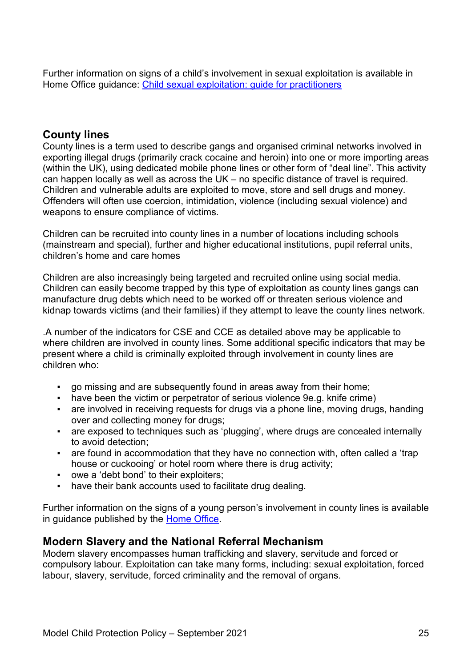Further information on signs of a child's involvement in sexual exploitation is available in Home Office guidance: [Child sexual exploitation: guide for practitioners](https://assets.publishing.service.gov.uk/government/uploads/system/uploads/attachment_data/file/591903/CSE_Guidance_Core_Document_13.02.2017.pdf)

### **County lines**

County lines is a term used to describe gangs and organised criminal networks involved in exporting illegal drugs (primarily crack cocaine and heroin) into one or more importing areas (within the UK), using dedicated mobile phone lines or other form of "deal line". This activity can happen locally as well as across the UK – no specific distance of travel is required. Children and vulnerable adults are exploited to move, store and sell drugs and money. Offenders will often use coercion, intimidation, violence (including sexual violence) and weapons to ensure compliance of victims.

Children can be recruited into county lines in a number of locations including schools (mainstream and special), further and higher educational institutions, pupil referral units, children's home and care homes

Children are also increasingly being targeted and recruited online using social media. Children can easily become trapped by this type of exploitation as county lines gangs can manufacture drug debts which need to be worked off or threaten serious violence and kidnap towards victims (and their families) if they attempt to leave the county lines network.

.A number of the indicators for CSE and CCE as detailed above may be applicable to where children are involved in county lines. Some additional specific indicators that may be present where a child is criminally exploited through involvement in county lines are children who:

- go missing and are subsequently found in areas away from their home;
- have been the victim or perpetrator of serious violence 9e.g. knife crime)
- **•** are involved in receiving requests for drugs via a phone line, moving drugs, handing over and collecting money for drugs;
- are exposed to techniques such as 'plugging', where drugs are concealed internally to avoid detection;
- are found in accommodation that they have no connection with, often called a 'trap house or cuckooing' or hotel room where there is drug activity;
- owe a 'debt bond' to their exploiters;
- have their bank accounts used to facilitate drug dealing.

Further information on the signs of a young person's involvement in county lines is available in guidance published by the [Home Office.](https://assets.publishing.service.gov.uk/government/uploads/system/uploads/attachment_data/file/863323/HOCountyLinesGuidance_-_Sept2018.pdf)

#### **Modern Slavery and the National Referral Mechanism**

Modern slavery encompasses human trafficking and slavery, servitude and forced or compulsory labour. Exploitation can take many forms, including: sexual exploitation, forced labour, slavery, servitude, forced criminality and the removal of organs.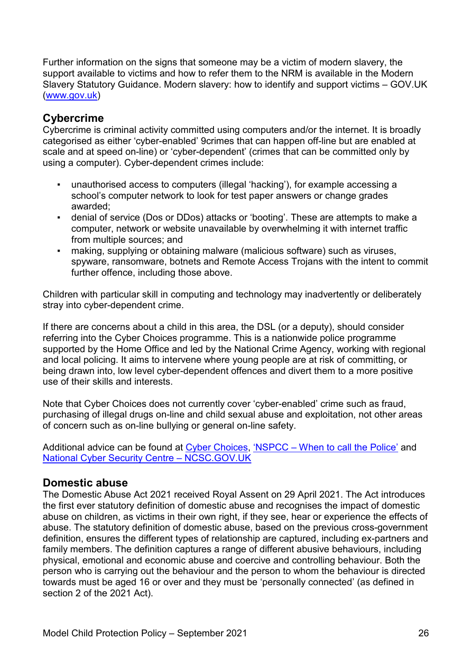Further information on the signs that someone may be a victim of modern slavery, the support available to victims and how to refer them to the NRM is available in the Modern Slavery Statutory Guidance. Modern slavery: how to identify and support victims – GOV.UK [\(www.gov.uk\)](http://www.gov.uk/)

### **Cybercrime**

Cybercrime is criminal activity committed using computers and/or the internet. It is broadly categorised as either 'cyber-enabled' 9crimes that can happen off-line but are enabled at scale and at speed on-line) or 'cyber-dependent' (crimes that can be committed only by using a computer). Cyber-dependent crimes include:

- unauthorised access to computers (illegal 'hacking'), for example accessing a school's computer network to look for test paper answers or change grades awarded;
- denial of service (Dos or DDos) attacks or 'booting'. These are attempts to make a computer, network or website unavailable by overwhelming it with internet traffic from multiple sources; and
- making, supplying or obtaining malware (malicious software) such as viruses, spyware, ransomware, botnets and Remote Access Trojans with the intent to commit further offence, including those above.

Children with particular skill in computing and technology may inadvertently or deliberately stray into cyber-dependent crime.

If there are concerns about a child in this area, the DSL (or a deputy), should consider referring into the Cyber Choices programme. This is a nationwide police programme supported by the Home Office and led by the National Crime Agency, working with regional and local policing. It aims to intervene where young people are at risk of committing, or being drawn into, low level cyber-dependent offences and divert them to a more positive use of their skills and interests.

Note that Cyber Choices does not currently cover 'cyber-enabled' crime such as fraud, purchasing of illegal drugs on-line and child sexual abuse and exploitation, not other areas of concern such as on-line bullying or general on-line safety.

Additional advice can be found at [Cyber Choices,](https://nationalcrimeagency.gov.uk/what-we-do/crime-threats/cyber-crime/cyberchoices) 'NSPCC – [When to call the Police'](https://www.npcc.police.uk/documents/Children%20and%20Young%20people/When%20to%20call%20the%20police%20guidance%20for%20schools%20and%20colleges.pdf) and [National Cyber Security Centre –](https://www.ncsc.gov.uk/) NCSC.GOV.UK

#### **Domestic abuse**

The Domestic Abuse Act 2021 received Royal Assent on 29 April 2021. The Act introduces the first ever statutory definition of domestic abuse and recognises the impact of domestic abuse on children, as victims in their own right, if they see, hear or experience the effects of abuse. The statutory definition of domestic abuse, based on the previous cross-government definition, ensures the different types of relationship are captured, including ex-partners and family members. The definition captures a range of different abusive behaviours, including physical, emotional and economic abuse and coercive and controlling behaviour. Both the person who is carrying out the behaviour and the person to whom the behaviour is directed towards must be aged 16 or over and they must be 'personally connected' (as defined in section 2 of the 2021 Act).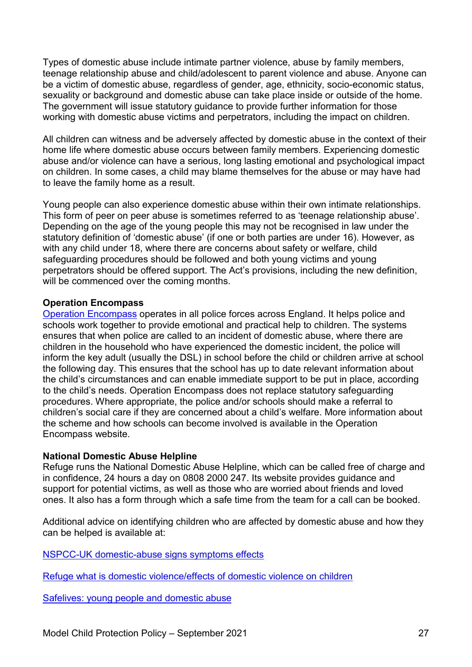Types of domestic abuse include intimate partner violence, abuse by family members, teenage relationship abuse and child/adolescent to parent violence and abuse. Anyone can be a victim of domestic abuse, regardless of gender, age, ethnicity, socio-economic status, sexuality or background and domestic abuse can take place inside or outside of the home. The government will issue statutory guidance to provide further information for those working with domestic abuse victims and perpetrators, including the impact on children.

All children can witness and be adversely affected by domestic abuse in the context of their home life where domestic abuse occurs between family members. Experiencing domestic abuse and/or violence can have a serious, long lasting emotional and psychological impact on children. In some cases, a child may blame themselves for the abuse or may have had to leave the family home as a result.

Young people can also experience domestic abuse within their own intimate relationships. This form of peer on peer abuse is sometimes referred to as 'teenage relationship abuse'. Depending on the age of the young people this may not be recognised in law under the statutory definition of 'domestic abuse' (if one or both parties are under 16). However, as with any child under 18, where there are concerns about safety or welfare, child safeguarding procedures should be followed and both young victims and young perpetrators should be offered support. The Act's provisions, including the new definition, will be commenced over the coming months.

#### **Operation Encompass**

[Operation Encompass](https://www.operationencompass.org/) operates in all police forces across England. It helps police and schools work together to provide emotional and practical help to children. The systems ensures that when police are called to an incident of domestic abuse, where there are children in the household who have experienced the domestic incident, the police will inform the key adult (usually the DSL) in school before the child or children arrive at school the following day. This ensures that the school has up to date relevant information about the child's circumstances and can enable immediate support to be put in place, according to the child's needs. Operation Encompass does not replace statutory safeguarding procedures. Where appropriate, the police and/or schools should make a referral to children's social care if they are concerned about a child's welfare. More information about the scheme and how schools can become involved is available in the Operation Encompass website.

#### **National Domestic Abuse Helpline**

Refuge runs the National Domestic Abuse Helpline, which can be called free of charge and in confidence, 24 hours a day on 0808 2000 247. Its website provides guidance and support for potential victims, as well as those who are worried about friends and loved ones. It also has a form through which a safe time from the team for a call can be booked.

Additional advice on identifying children who are affected by domestic abuse and how they can be helped is available at:

[NSPCC-UK domestic-abuse signs symptoms effects](https://www.nspcc.org.uk/preventing-abuse/child-abuse-and-neglect/domestic-abuse/signs-symptoms-effects/)

[Refuge what is domestic violence/effects of domestic violence on children](http://www.refuge.org.uk/get-help-now/support-for-women/what-about-my-children/)

[Safelives: young people and domestic abuse](http://www.safelives.org.uk/knowledge-hub/spotlights/spotlight-3-young-people-and-domestic-abuse)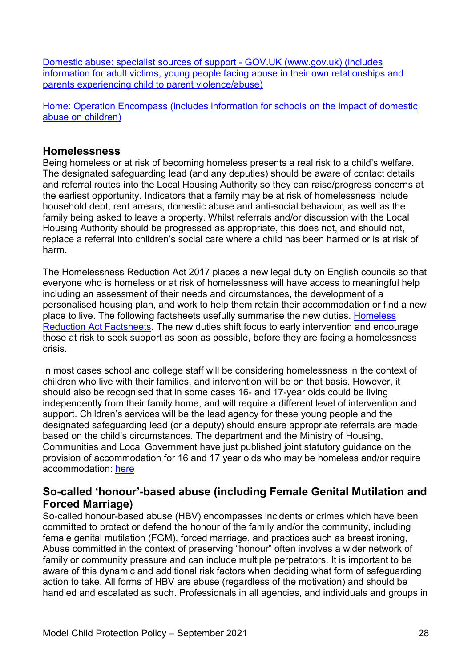[Domestic abuse: specialist sources of support -](https://www.gov.uk/government/publications/domestic-abuse-get-help-for-specific-needs-or-situations/domestic-abuse-specialist-sources-of-support) GOV.UK (www.gov.uk) (includes information for adult [victims, young people facing abuse in their own relationships and](https://www.gov.uk/government/publications/domestic-abuse-get-help-for-specific-needs-or-situations/domestic-abuse-specialist-sources-of-support)  [parents experiencing child to parent violence/abuse\)](https://www.gov.uk/government/publications/domestic-abuse-get-help-for-specific-needs-or-situations/domestic-abuse-specialist-sources-of-support)

[Home: Operation Encompass \(includes information for schools on the impact of domestic](https://www.operationencompass.org/)  [abuse on children\)](https://www.operationencompass.org/)

#### **Homelessness**

Being homeless or at risk of becoming homeless presents a real risk to a child's welfare. The designated safeguarding lead (and any deputies) should be aware of contact details and referral routes into the Local Housing Authority so they can raise/progress concerns at the earliest opportunity. Indicators that a family may be at risk of homelessness include household debt, rent arrears, domestic abuse and anti-social behaviour, as well as the family being asked to leave a property. Whilst referrals and/or discussion with the Local Housing Authority should be progressed as appropriate, this does not, and should not, replace a referral into children's social care where a child has been harmed or is at risk of harm.

The Homelessness Reduction Act 2017 places a new legal duty on English councils so that everyone who is homeless or at risk of homelessness will have access to meaningful help including an assessment of their needs and circumstances, the development of a personalised housing plan, and work to help them retain their accommodation or find a new place to live. The following factsheets usefully summarise the new duties. [Homeless](https://www.gov.uk/government/publications/homelessness-reduction-bill-policy-factsheets)  [Reduction Act Factsheets.](https://www.gov.uk/government/publications/homelessness-reduction-bill-policy-factsheets) The new duties shift focus to early intervention and encourage those at risk to seek support as soon as possible, before they are facing a homelessness crisis.

In most cases school and college staff will be considering homelessness in the context of children who live with their families, and intervention will be on that basis. However, it should also be recognised that in some cases 16- and 17-year olds could be living independently from their family home, and will require a different level of intervention and support. Children's services will be the lead agency for these young people and the designated safeguarding lead (or a deputy) should ensure appropriate referrals are made based on the child's circumstances. The department and the Ministry of Housing, Communities and Local Government have just published joint statutory guidance on the provision of accommodation for 16 and 17 year olds who may be homeless and/or require accommodation: [here](https://www.gov.uk/government/publications/homelessness-reduction-bill-policy-factsheets)

### **So-called 'honour'-based abuse (including Female Genital Mutilation and Forced Marriage)**

So-called honour-based abuse (HBV) encompasses incidents or crimes which have been committed to protect or defend the honour of the family and/or the community, including female genital mutilation (FGM), forced marriage, and practices such as breast ironing, Abuse committed in the context of preserving "honour" often involves a wider network of family or community pressure and can include multiple perpetrators. It is important to be aware of this dynamic and additional risk factors when deciding what form of safeguarding action to take. All forms of HBV are abuse (regardless of the motivation) and should be handled and escalated as such. Professionals in all agencies, and individuals and groups in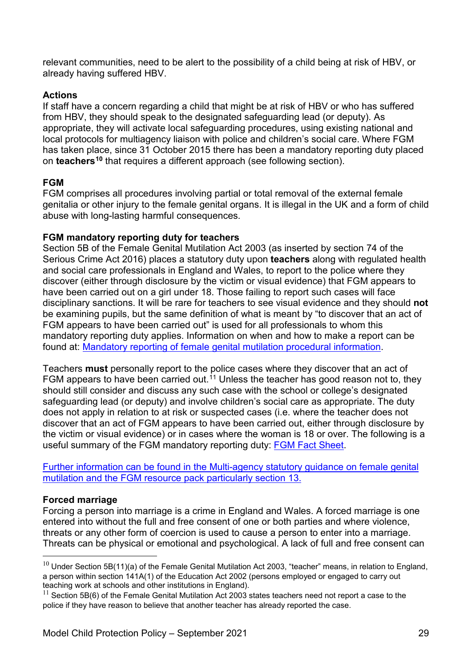relevant communities, need to be alert to the possibility of a child being at risk of HBV, or already having suffered HBV.

#### **Actions**

If staff have a concern regarding a child that might be at risk of HBV or who has suffered from HBV, they should speak to the designated safeguarding lead (or deputy). As appropriate, they will activate local safeguarding procedures, using existing national and local protocols for multiagency liaison with police and children's social care. Where FGM has taken place, since 31 October 2015 there has been a mandatory reporting duty placed on **teachers[10](#page-28-0)** that requires a different approach (see following section).

#### **FGM**

FGM comprises all procedures involving partial or total removal of the external female genitalia or other injury to the female genital organs. It is illegal in the UK and a form of child abuse with long-lasting harmful consequences.

#### **FGM mandatory reporting duty for teachers**

Section 5B of the Female Genital Mutilation Act 2003 (as inserted by section 74 of the Serious Crime Act 2016) places a statutory duty upon **teachers** along with regulated health and social care professionals in England and Wales, to report to the police where they discover (either through disclosure by the victim or visual evidence) that FGM appears to have been carried out on a girl under 18. Those failing to report such cases will face disciplinary sanctions. It will be rare for teachers to see visual evidence and they should **not** be examining pupils, but the same definition of what is meant by "to discover that an act of FGM appears to have been carried out" is used for all professionals to whom this mandatory reporting duty applies. Information on when and how to make a report can be found at: [Mandatory reporting of female genital mutilation procedural information.](https://www.gov.uk/government/publications/mandatory-reporting-of-female-genital-mutilation-procedural-information)

Teachers **must** personally report to the police cases where they discover that an act of FGM appears to have been carried out.<sup>[11](#page-28-1)</sup> Unless the teacher has good reason not to, they should still consider and discuss any such case with the school or college's designated safeguarding lead (or deputy) and involve children's social care as appropriate. The duty does not apply in relation to at risk or suspected cases (i.e. where the teacher does not discover that an act of FGM appears to have been carried out, either through disclosure by the victim or visual evidence) or in cases where the woman is 18 or over. The following is a useful summary of the FGM mandatory reporting duty: [FGM Fact Sheet.](https://assets.publishing.service.gov.uk/government/uploads/system/uploads/attachment_data/file/496415/6_1639_HO_SP_FGM_mandatory_reporting_Fact_sheet_Web.pdf)

[Further information can be found in the Multi-agency statutory guidance on female genital](https://assets.publishing.service.gov.uk/government/uploads/system/uploads/attachment_data/file/912996/6-1914-HO-Multi_Agency_Statutory_Guidance_on_FGM__-_MASTER_V7_-_FINAL__July_2020.pdf)  [mutilation and the FGM resource pack particularly section 13.](https://assets.publishing.service.gov.uk/government/uploads/system/uploads/attachment_data/file/912996/6-1914-HO-Multi_Agency_Statutory_Guidance_on_FGM__-_MASTER_V7_-_FINAL__July_2020.pdf)

#### **Forced marriage**

Forcing a person into marriage is a crime in England and Wales. A forced marriage is one entered into without the full and free consent of one or both parties and where violence, threats or any other form of coercion is used to cause a person to enter into a marriage. Threats can be physical or emotional and psychological. A lack of full and free consent can

<span id="page-28-0"></span> $10$  Under Section 5B(11)(a) of the Female Genital Mutilation Act 2003, "teacher" means, in relation to England, a person within section 141A(1) of the Education Act 2002 (persons employed or engaged to carry out teaching work at schools and other institutions in England).

<span id="page-28-1"></span> $11$  Section 5B(6) of the Female Genital Mutilation Act 2003 states teachers need not report a case to the police if they have reason to believe that another teacher has already reported the case.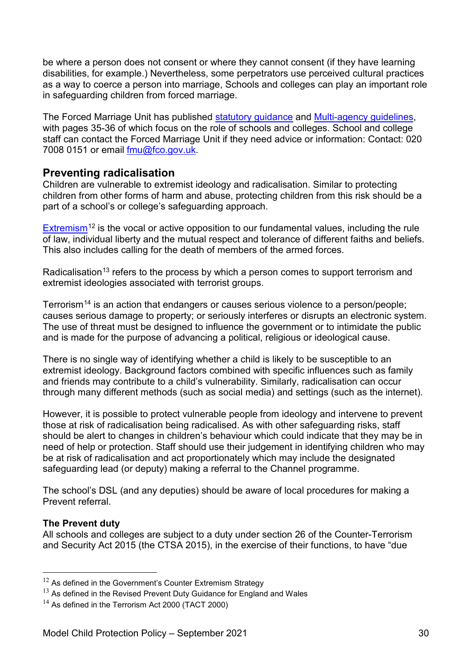be where a person does not consent or where they cannot consent (if they have learning disabilities, for example.) Nevertheless, some perpetrators use perceived cultural practices as a way to coerce a person into marriage, Schools and colleges can play an important role in safeguarding children from forced marriage.

The Forced Marriage Unit has published [statutory guidance](https://assets.publishing.service.gov.uk/government/uploads/system/uploads/attachment_data/file/322310/HMG_Statutory_Guidance_publication_180614_Final.pdf) and [Multi-agency guidelines,](https://assets.publishing.service.gov.uk/government/uploads/system/uploads/attachment_data/file/322307/HMG_MULTI_AGENCY_PRACTICE_GUIDELINES_v1_180614_FINAL.pdf) with pages 35-36 of which focus on the role of schools and colleges. School and college staff can contact the Forced Marriage Unit if they need advice or information: Contact: 020 7008 0151 or email [fmu@fco.gov.uk.](mailto:fmu@fco.gov.uk)

#### **Preventing radicalisation**

Children are vulnerable to extremist ideology and radicalisation. Similar to protecting children from other forms of harm and abuse, protecting children from this risk should be a part of a school's or college's safeguarding approach.

[Extremism](https://assets.publishing.service.gov.uk/government/uploads/system/uploads/attachment_data/file/470088/51859_Cm9148_Accessible.pdf)<sup>[12](#page-29-0)</sup> is the vocal or active opposition to our fundamental values, including the rule of law, individual liberty and the mutual respect and tolerance of different faiths and beliefs. This also includes calling for the death of members of the armed forces.

Radicalisation<sup>[13](#page-29-1)</sup> refers to the process by which a person comes to support terrorism and extremist ideologies associated with terrorist groups.

Terrorism<sup>[14](#page-29-2)</sup> is an action that endangers or causes serious violence to a person/people; causes serious damage to property; or seriously interferes or disrupts an electronic system. The use of threat must be designed to influence the government or to intimidate the public and is made for the purpose of advancing a political, religious or ideological cause.

There is no single way of identifying whether a child is likely to be susceptible to an extremist ideology. Background factors combined with specific influences such as family and friends may contribute to a child's vulnerability. Similarly, radicalisation can occur through many different methods (such as social media) and settings (such as the internet).

However, it is possible to protect vulnerable people from ideology and intervene to prevent those at risk of radicalisation being radicalised. As with other safeguarding risks, staff should be alert to changes in children's behaviour which could indicate that they may be in need of help or protection. Staff should use their judgement in identifying children who may be at risk of radicalisation and act proportionately which may include the designated safeguarding lead (or deputy) making a referral to the Channel programme.

The school's DSL (and any deputies) should be aware of local procedures for making a Prevent referral.

#### **The Prevent duty**

All schools and colleges are subject to a duty under section 26 of the Counter-Terrorism and Security Act 2015 (the CTSA 2015), in the exercise of their functions, to have "due

<span id="page-29-0"></span> $12$  As defined in the Government's Counter Extremism Strategy

<span id="page-29-1"></span> $13$  As defined in the Revised Prevent Duty Guidance for England and Wales

<span id="page-29-2"></span><sup>&</sup>lt;sup>14</sup> As defined in the Terrorism Act 2000 (TACT 2000)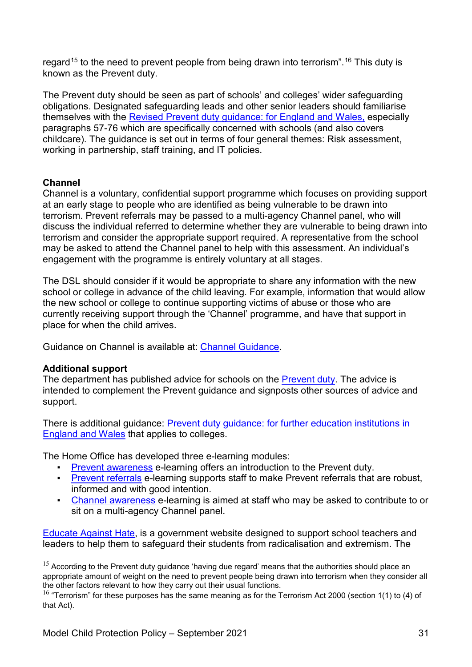regard<sup>[15](#page-30-0)</sup> to the need to prevent people from being drawn into terrorism".<sup>[16](#page-30-1)</sup> This duty is known as the Prevent duty.

The Prevent duty should be seen as part of schools' and colleges' wider safeguarding obligations. Designated safeguarding leads and other senior leaders should familiarise themselves with the [Revised Prevent duty guidance: for England and Wales,](https://www.gov.uk/government/publications/prevent-duty-guidance) especially paragraphs 57-76 which are specifically concerned with schools (and also covers childcare). The guidance is set out in terms of four general themes: Risk assessment, working in partnership, staff training, and IT policies.

#### **Channel**

Channel is a voluntary, confidential support programme which focuses on providing support at an early stage to people who are identified as being vulnerable to be drawn into terrorism. Prevent referrals may be passed to a multi-agency Channel panel, who will discuss the individual referred to determine whether they are vulnerable to being drawn into terrorism and consider the appropriate support required. A representative from the school may be asked to attend the Channel panel to help with this assessment. An individual's engagement with the programme is entirely voluntary at all stages.

The DSL should consider if it would be appropriate to share any information with the new school or college in advance of the child leaving. For example, information that would allow the new school or college to continue supporting victims of abuse or those who are currently receiving support through the 'Channel' programme, and have that support in place for when the child arrives.

Guidance on Channel is available at: [Channel Guidance.](https://www.gov.uk/government/publications/channel-guidance)

#### **Additional support**

The department has published advice for schools on the [Prevent duty.](https://www.gov.uk/government/publications/protecting-children-from-radicalisation-the-prevent-duty) The advice is intended to complement the Prevent guidance and signposts other sources of advice and support.

There is additional guidance: [Prevent duty guidance: for further education institutions in](https://www.gov.uk/government/publications/prevent-duty-guidance)  [England and Wales](https://www.gov.uk/government/publications/prevent-duty-guidance) that applies to colleges.

The Home Office has developed three e-learning modules:

- **[Prevent awareness](https://www.elearning.prevent.homeoffice.gov.uk/la2/screen1.html) e-learning offers an introduction to the Prevent duty.**
- **[Prevent referrals](https://www.elearning.prevent.homeoffice.gov.uk/prevent_referrals/01-welcome.html) e-learning supports staff to make Prevent referrals that are robust,** informed and with good intention.
- **[Channel awareness](https://www.elearning.prevent.homeoffice.gov.uk/channel_awareness/01-welcome.html) e-learning is aimed at staff who may be asked to contribute to or** sit on a multi-agency Channel panel.

[Educate Against Hate,](https://educateagainsthate.com/) is a government website designed to support school teachers and leaders to help them to safeguard their students from radicalisation and extremism. The

<span id="page-30-0"></span> $15$  According to the Prevent duty guidance 'having due regard' means that the authorities should place an appropriate amount of weight on the need to prevent people being drawn into terrorism when they consider all the other factors relevant to how they carry out their usual functions.

<span id="page-30-1"></span> $16$  "Terrorism" for these purposes has the same meaning as for the Terrorism Act 2000 (section 1(1) to (4) of that Act).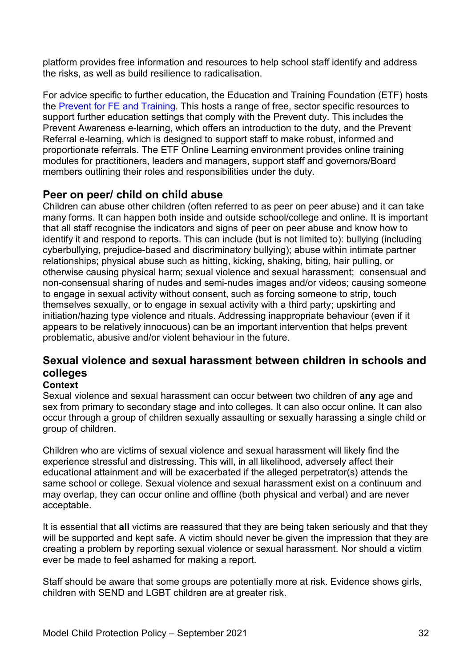platform provides free information and resources to help school staff identify and address the risks, as well as build resilience to radicalisation.

For advice specific to further education, the Education and Training Foundation (ETF) hosts the [Prevent for FE and Training.](https://preventforfeandtraining.org.uk/) This hosts a range of free, sector specific resources to support further education settings that comply with the Prevent duty. This includes the Prevent Awareness e-learning, which offers an introduction to the duty, and the Prevent Referral e-learning, which is designed to support staff to make robust, informed and proportionate referrals. The ETF Online Learning environment provides online training modules for practitioners, leaders and managers, support staff and governors/Board members outlining their roles and responsibilities under the duty.

### **Peer on peer/ child on child abuse**

Children can abuse other children (often referred to as peer on peer abuse) and it can take many forms. It can happen both inside and outside school/college and online. It is important that all staff recognise the indicators and signs of peer on peer abuse and know how to identify it and respond to reports. This can include (but is not limited to): bullying (including cyberbullying, prejudice-based and discriminatory bullying); abuse within intimate partner relationships; physical abuse such as hitting, kicking, shaking, biting, hair pulling, or otherwise causing physical harm; sexual violence and sexual harassment; consensual and non-consensual sharing of nudes and semi-nudes images and/or videos; causing someone to engage in sexual activity without consent, such as forcing someone to strip, touch themselves sexually, or to engage in sexual activity with a third party; upskirting and initiation/hazing type violence and rituals. Addressing inappropriate behaviour (even if it appears to be relatively innocuous) can be an important intervention that helps prevent problematic, abusive and/or violent behaviour in the future.

# **Sexual violence and sexual harassment between children in schools and colleges**

#### **Context**

Sexual violence and sexual harassment can occur between two children of **any** age and sex from primary to secondary stage and into colleges. It can also occur online. It can also occur through a group of children sexually assaulting or sexually harassing a single child or group of children.

Children who are victims of sexual violence and sexual harassment will likely find the experience stressful and distressing. This will, in all likelihood, adversely affect their educational attainment and will be exacerbated if the alleged perpetrator(s) attends the same school or college. Sexual violence and sexual harassment exist on a continuum and may overlap, they can occur online and offline (both physical and verbal) and are never acceptable.

It is essential that **all** victims are reassured that they are being taken seriously and that they will be supported and kept safe. A victim should never be given the impression that they are creating a problem by reporting sexual violence or sexual harassment. Nor should a victim ever be made to feel ashamed for making a report.

Staff should be aware that some groups are potentially more at risk. Evidence shows girls, children with SEND and LGBT children are at greater risk.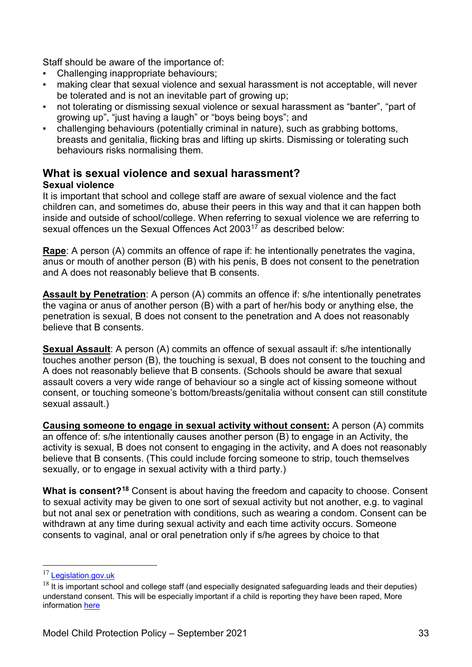Staff should be aware of the importance of:

- Challenging inappropriate behaviours;
- making clear that sexual violence and sexual harassment is not acceptable, will never be tolerated and is not an inevitable part of growing up;
- not tolerating or dismissing sexual violence or sexual harassment as "banter", "part of growing up", "just having a laugh" or "boys being boys"; and
- challenging behaviours (potentially criminal in nature), such as grabbing bottoms, breasts and genitalia, flicking bras and lifting up skirts. Dismissing or tolerating such behaviours risks normalising them.

# **What is sexual violence and sexual harassment?**

#### **Sexual violence**

It is important that school and college staff are aware of sexual violence and the fact children can, and sometimes do, abuse their peers in this way and that it can happen both inside and outside of school/college. When referring to sexual violence we are referring to sexual offences un the Sexual Offences Act 2003<sup>[17](#page-32-0)</sup> as described below:

**Rape**: A person (A) commits an offence of rape if: he intentionally penetrates the vagina, anus or mouth of another person (B) with his penis, B does not consent to the penetration and A does not reasonably believe that B consents.

**Assault by Penetration**: A person (A) commits an offence if: s/he intentionally penetrates the vagina or anus of another person (B) with a part of her/his body or anything else, the penetration is sexual, B does not consent to the penetration and A does not reasonably believe that B consents.

**Sexual Assault**: A person (A) commits an offence of sexual assault if: s/he intentionally touches another person (B), the touching is sexual, B does not consent to the touching and A does not reasonably believe that B consents. (Schools should be aware that sexual assault covers a very wide range of behaviour so a single act of kissing someone without consent, or touching someone's bottom/breasts/genitalia without consent can still constitute sexual assault.)

**Causing someone to engage in sexual activity without consent:** A person (A) commits an offence of: s/he intentionally causes another person (B) to engage in an Activity, the activity is sexual, B does not consent to engaging in the activity, and A does not reasonably believe that B consents. (This could include forcing someone to strip, touch themselves sexually, or to engage in sexual activity with a third party.)

**What is consent?[18](#page-32-1)** Consent is about having the freedom and capacity to choose. Consent to sexual activity may be given to one sort of sexual activity but not another, e.g. to vaginal but not anal sex or penetration with conditions, such as wearing a condom. Consent can be withdrawn at any time during sexual activity and each time activity occurs. Someone consents to vaginal, anal or oral penetration only if s/he agrees by choice to that

<span id="page-32-0"></span><sup>&</sup>lt;sup>17</sup> [Legislation.gov.uk](https://www.legislation.gov.uk/ukpga/2003/42/contents)

<span id="page-32-1"></span> $18$  It is important school and college staff (and especially designated safeguarding leads and their deputies) understand consent. This will be especially important if a child is reporting they have been raped, More information [here](https://www.disrespectnobody.co.uk/consent/what-is-consent/)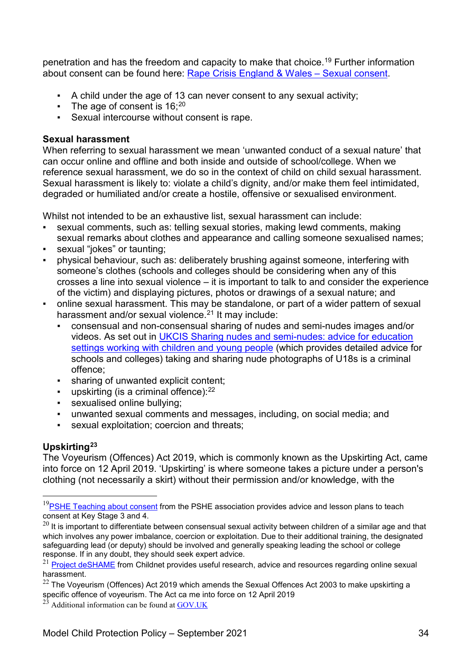penetration and has the freedom and capacity to make that choice.<sup>19</sup> Further information about consent can be found here: [Rape Crisis England & Wales –](https://rapecrisis.org.uk/) Sexual consent.

- A child under the age of 13 can never consent to any sexual activity;
- **•** The age of consent is  $16:20$  $16:20$
- Sexual intercourse without consent is rape.

#### **Sexual harassment**

When referring to sexual harassment we mean 'unwanted conduct of a sexual nature' that can occur online and offline and both inside and outside of school/college. When we reference sexual harassment, we do so in the context of child on child sexual harassment. Sexual harassment is likely to: violate a child's dignity, and/or make them feel intimidated, degraded or humiliated and/or create a hostile, offensive or sexualised environment.

Whilst not intended to be an exhaustive list, sexual harassment can include:

- sexual comments, such as: telling sexual stories, making lewd comments, making sexual remarks about clothes and appearance and calling someone sexualised names;
- sexual "jokes" or taunting;
- physical behaviour, such as: deliberately brushing against someone, interfering with someone's clothes (schools and colleges should be considering when any of this crosses a line into sexual violence – it is important to talk to and consider the experience of the victim) and displaying pictures, photos or drawings of a sexual nature; and
- online sexual harassment. This may be standalone, or part of a wider pattern of sexual harassment and/or sexual violence.<sup>[21](#page-33-2)</sup> It may include:
	- consensual and non-consensual sharing of nudes and semi-nudes images and/or videos. As set out in [UKCIS Sharing nudes and semi-nudes: advice for education](https://www.gov.uk/government/publications/sharing-nudes-and-semi-nudes-advice-for-education-settings-working-with-children-and-young-people/sharing-nudes-and-semi-nudes-advice-for-education-settings-working-with-children-and-young-people)  [settings working with children and young people](https://www.gov.uk/government/publications/sharing-nudes-and-semi-nudes-advice-for-education-settings-working-with-children-and-young-people/sharing-nudes-and-semi-nudes-advice-for-education-settings-working-with-children-and-young-people) (which provides detailed advice for schools and colleges) taking and sharing nude photographs of U18s is a criminal offence;
	- sharing of unwanted explicit content;
	- **•** upskirting (is a criminal offence): $22$
	- sexualised online bullying;
	- unwanted sexual comments and messages, including, on social media; and
	- sexual exploitation; coercion and threats;

#### **Upskirting[23](#page-33-4)**

The Voyeurism (Offences) Act 2019, which is commonly known as the Upskirting Act, came into force on 12 April 2019. 'Upskirting' is where someone takes a picture under a person's clothing (not necessarily a skirt) without their permission and/or knowledge, with the

<span id="page-33-0"></span> $19$ [PSHE Teaching about consent](https://www.pshe-association.org.uk/curriculum-and-resources/resources/guidance-teaching-about-consent-pshe-education-key) from the PSHE association provides advice and lesson plans to teach consent at Key Stage 3 and 4.

<span id="page-33-1"></span> $^{20}$  It is important to differentiate between consensual sexual activity between children of a similar age and that which involves any power imbalance, coercion or exploitation. Due to their additional training, the designated safeguarding lead (or deputy) should be involved and generally speaking leading the school or college response. If in any doubt, they should seek expert advice.

<span id="page-33-2"></span><sup>&</sup>lt;sup>21</sup> [Project deSHAME](https://www.childnet.com/our-projects/project-deshame) from Childnet provides useful research, advice and resources regarding online sexual harassment.

<span id="page-33-3"></span> $22$  The Voyeurism (Offences) Act 2019 which amends the Sexual Offences Act 2003 to make upskirting a specific offence of voyeurism. The Act ca me into force on 12 April 2019

<span id="page-33-4"></span> $^{23}$  Additional information can be found a[t GOV.UK](https://www.gov.uk/government/news/upskirting-law-comes-into-force)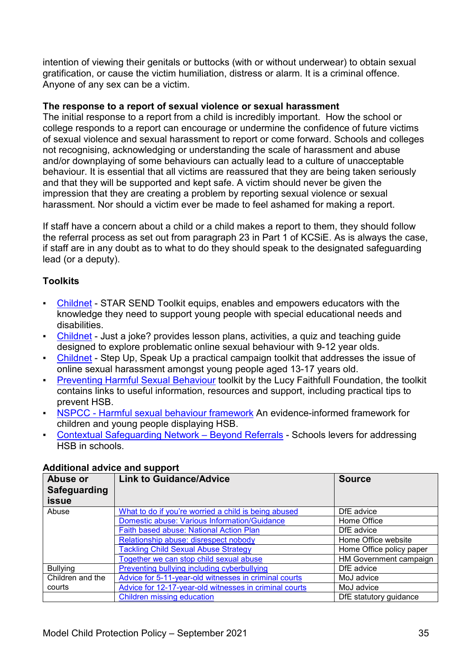intention of viewing their genitals or buttocks (with or without underwear) to obtain sexual gratification, or cause the victim humiliation, distress or alarm. It is a criminal offence. Anyone of any sex can be a victim.

#### **The response to a report of sexual violence or sexual harassment**

The initial response to a report from a child is incredibly important. How the school or college responds to a report can encourage or undermine the confidence of future victims of sexual violence and sexual harassment to report or come forward. Schools and colleges not recognising, acknowledging or understanding the scale of harassment and abuse and/or downplaying of some behaviours can actually lead to a culture of unacceptable behaviour. It is essential that all victims are reassured that they are being taken seriously and that they will be supported and kept safe. A victim should never be given the impression that they are creating a problem by reporting sexual violence or sexual harassment. Nor should a victim ever be made to feel ashamed for making a report.

If staff have a concern about a child or a child makes a report to them, they should follow the referral process as set out from paragraph 23 in Part 1 of KCSiE. As is always the case, if staff are in any doubt as to what to do they should speak to the designated safeguarding lead (or a deputy).

#### **Toolkits**

- [Childnet](https://www.childnet.com/resources/star-send-toolkit) STAR SEND Toolkit equips, enables and empowers educators with the knowledge they need to support young people with special educational needs and disabilities.
- [Childnet](https://www.childnet.com/resources/just-a-joke) Just a joke? provides lesson plans, activities, a quiz and teaching quide designed to explore problematic online sexual behaviour with 9-12 year olds.
- [Childnet](https://www.childnet.com/resources/step-up-speak-up/) Step Up, Speak Up a practical campaign toolkit that addresses the issue of online sexual harassment amongst young people aged 13-17 years old.
- **Example 2 [Preventing Harmful Sexual Behaviour](https://www.stopitnow.org.uk/concerned-about-a-child-or-young-persons-sexual-behaviour/preventing-harmful-sexual-behaviour/) toolkit by the Lucy Faithfull Foundation, the toolkit** contains links to useful information, resources and support, including practical tips to prevent HSB.
- **EXECC** [Harmful sexual behaviour framework](https://learning.nspcc.org.uk/research-resources/2019/harmful-sexual-behaviour-framework) An evidence-informed framework for children and young people displaying HSB.
- **[Contextual Safeguarding Network –](https://contextualsafeguarding.org.uk/portfolio-items/beyond-referrals-2-project-to-address-harmful-behaviour-in-schools/) Beyond Referrals Schools levers for addressing** HSB in schools.

| Abuse or<br><b>Safeguarding</b><br><b>issue</b> | <b>Link to Guidance/Advice</b>                         | <b>Source</b>            |
|-------------------------------------------------|--------------------------------------------------------|--------------------------|
| Abuse                                           | What to do if you're worried a child is being abused   | DfE advice               |
|                                                 | Domestic abuse: Various Information/Guidance           | Home Office              |
|                                                 | Faith based abuse: National Action Plan                | DfE advice               |
|                                                 | Relationship abuse: disrespect nobody                  | Home Office website      |
|                                                 | <b>Tackling Child Sexual Abuse Strategy</b>            | Home Office policy paper |
|                                                 | Together we can stop child sexual abuse                | HM Government campaign   |
| <b>Bullying</b>                                 | Preventing bullying including cyberbullying            | DfE advice               |
| Children and the                                | Advice for 5-11-year-old witnesses in criminal courts  | MoJ advice               |
| courts                                          | Advice for 12-17-year-old witnesses in criminal courts | MoJ advice               |
|                                                 | Children missing education                             | DfE statutory guidance   |

#### **Additional advice and support**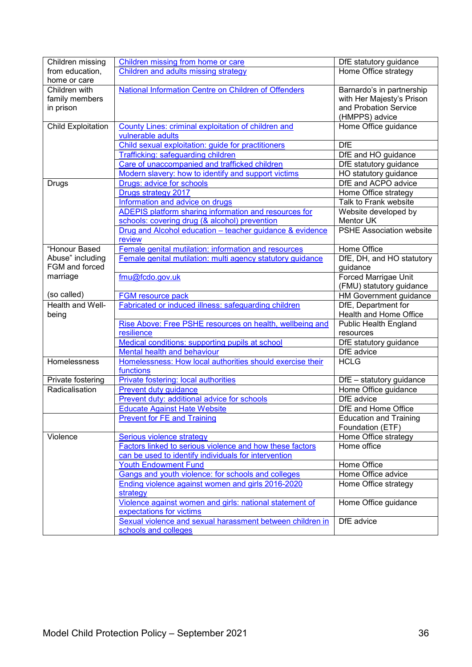| Children missing                    | Children missing from home or care                              | DfE statutory guidance             |
|-------------------------------------|-----------------------------------------------------------------|------------------------------------|
| from education,                     | Children and adults missing strategy                            | Home Office strategy               |
| home or care                        |                                                                 |                                    |
| Children with                       | National Information Centre on Children of Offenders            | Barnardo's in partnership          |
| family members                      |                                                                 | with Her Majesty's Prison          |
| in prison                           |                                                                 | and Probation Service              |
|                                     |                                                                 | (HMPPS) advice                     |
| <b>Child Exploitation</b>           | County Lines: criminal exploitation of children and             | Home Office guidance               |
|                                     | vulnerable adults                                               |                                    |
|                                     | Child sexual exploitation: guide for practitioners              | <b>DfE</b>                         |
|                                     | <b>Trafficking: safeguarding children</b>                       | DfE and HO guidance                |
|                                     | Care of unaccompanied and trafficked children                   | DfE statutory guidance             |
|                                     | Modern slavery: how to identify and support victims             | HO statutory guidance              |
| <b>Drugs</b>                        | Drugs: advice for schools                                       | DfE and ACPO advice                |
|                                     | Drugs strategy 2017                                             | Home Office strategy               |
|                                     | Information and advice on drugs                                 | Talk to Frank website              |
|                                     | ADEPIS platform sharing information and resources for           | Website developed by               |
|                                     | schools: covering drug (& alcohol) prevention                   | <b>Mentor UK</b>                   |
|                                     | Drug and Alcohol education - teacher guidance & evidence        | <b>PSHE Association website</b>    |
|                                     | review                                                          |                                    |
| "Honour Based                       | Female genital mutilation: information and resources            | Home Office                        |
| Abuse" including                    | Female genital mutilation: multi agency statutory guidance      | DfE, DH, and HO statutory          |
| FGM and forced                      |                                                                 | guidance                           |
| marriage                            | fmu@fcdo.gov.uk                                                 | <b>Forced Marrigae Unit</b>        |
|                                     |                                                                 | (FMU) statutory guidance           |
| (so called)                         | <b>FGM resource pack</b>                                        | <b>HM</b> Government guidance      |
| Health and Well-                    | Fabricated or induced illness: safeguarding children            | DfE, Department for                |
| being                               |                                                                 | Health and Home Office             |
|                                     | Rise Above: Free PSHE resources on health, wellbeing and        | <b>Public Health England</b>       |
|                                     | resilience                                                      | resources                          |
|                                     | Medical conditions: supporting pupils at school                 | DfE statutory guidance             |
|                                     | Mental health and behaviour                                     | DfE advice                         |
| Homelessness                        | Homelessness: How local authorities should exercise their       | <b>HCLG</b>                        |
|                                     | functions                                                       |                                    |
|                                     | Private fostering: local authorities                            |                                    |
| Private fostering<br>Radicalisation |                                                                 | DfE - statutory guidance           |
|                                     | <b>Prevent duty guidance</b>                                    | Home Office guidance<br>DfE advice |
|                                     | Prevent duty: additional advice for schools                     | DfE and Home Office                |
|                                     | <b>Educate Against Hate Website</b>                             |                                    |
|                                     | <b>Prevent for FE and Training</b>                              | <b>Education and Training</b>      |
|                                     |                                                                 | Foundation (ETF)                   |
| Violence                            | Serious violence strategy                                       | Home Office strategy               |
|                                     | <b>Factors linked to serious violence and how these factors</b> | Home office                        |
|                                     | can be used to identify individuals for intervention            |                                    |
|                                     | <b>Youth Endowment Fund</b>                                     | Home Office                        |
|                                     | Gangs and youth violence: for schools and colleges              | Home Office advice                 |
|                                     | Ending violence against women and girls 2016-2020               | Home Office strategy               |
|                                     | strategy                                                        |                                    |
|                                     | Violence against women and girls: national statement of         | Home Office guidance               |
|                                     | expectations for victims                                        |                                    |
|                                     | Sexual violence and sexual harassment between children in       | DfE advice                         |
|                                     | schools and colleges                                            |                                    |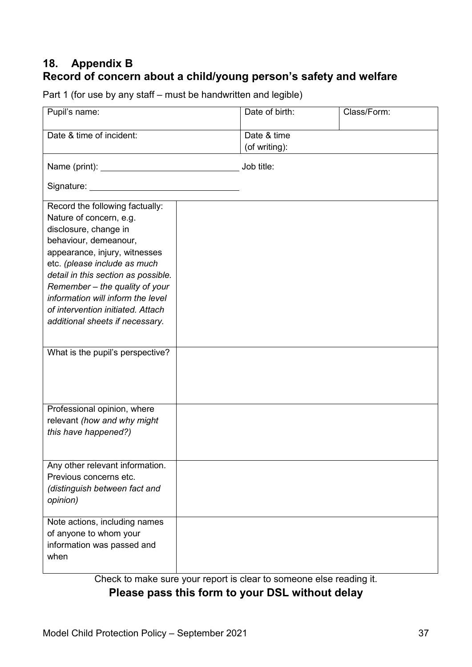# **18. Appendix B Record of concern about a child/young person's safety and welfare**

Part 1 (for use by any staff – must be handwritten and legible)

| Pupil's name:                                                                                                                                                                                                                                                                                                                                                       |  | Date of birth:               | Class/Form: |  |  |
|---------------------------------------------------------------------------------------------------------------------------------------------------------------------------------------------------------------------------------------------------------------------------------------------------------------------------------------------------------------------|--|------------------------------|-------------|--|--|
| Date & time of incident:                                                                                                                                                                                                                                                                                                                                            |  | Date & time<br>(of writing): |             |  |  |
|                                                                                                                                                                                                                                                                                                                                                                     |  | Job title:                   |             |  |  |
|                                                                                                                                                                                                                                                                                                                                                                     |  |                              |             |  |  |
| Record the following factually:<br>Nature of concern, e.g.<br>disclosure, change in<br>behaviour, demeanour,<br>appearance, injury, witnesses<br>etc. (please include as much<br>detail in this section as possible.<br>Remember - the quality of your<br>information will inform the level<br>of intervention initiated. Attach<br>additional sheets if necessary. |  |                              |             |  |  |
| What is the pupil's perspective?                                                                                                                                                                                                                                                                                                                                    |  |                              |             |  |  |
| Professional opinion, where<br>relevant (how and why might<br>this have happened?)                                                                                                                                                                                                                                                                                  |  |                              |             |  |  |
| Any other relevant information.<br>Previous concerns etc.<br>(distinguish between fact and<br>opinion)                                                                                                                                                                                                                                                              |  |                              |             |  |  |
| Note actions, including names<br>of anyone to whom your<br>information was passed and<br>when                                                                                                                                                                                                                                                                       |  |                              |             |  |  |

Check to make sure your report is clear to someone else reading it.

# **Please pass this form to your DSL without delay**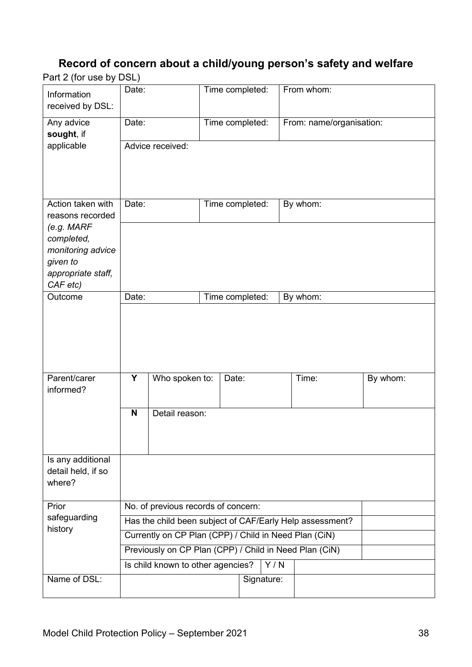# **Record of concern about a child/young person's safety and welfare**

Part 2 (for use by DSL)

| Information<br>received by DSL:                                                 | Date:                                                                                       |                  |  | Time completed: |                   | From whom:               |          |
|---------------------------------------------------------------------------------|---------------------------------------------------------------------------------------------|------------------|--|-----------------|-------------------|--------------------------|----------|
| Any advice<br>sought, if                                                        | Date:                                                                                       |                  |  | Time completed: |                   | From: name/organisation: |          |
| applicable                                                                      |                                                                                             | Advice received: |  |                 |                   |                          |          |
| Action taken with<br>reasons recorded                                           | Date:                                                                                       |                  |  | Time completed: |                   | By whom:                 |          |
| (e.g. MARF<br>completed,<br>monitoring advice<br>given to<br>appropriate staff, |                                                                                             |                  |  |                 |                   |                          |          |
| CAF etc)<br>Outcome                                                             | Date:                                                                                       |                  |  | Time completed: |                   | By whom:                 |          |
|                                                                                 |                                                                                             |                  |  |                 |                   |                          |          |
| Parent/carer<br>informed?                                                       | Y                                                                                           | Who spoken to:   |  | Date:           |                   | Time:                    | By whom: |
|                                                                                 | $\mathbf N$                                                                                 | Detail reason:   |  |                 |                   |                          |          |
| Is any additional<br>detail held, if so<br>where?                               |                                                                                             |                  |  |                 |                   |                          |          |
| Prior                                                                           | No. of previous records of concern:                                                         |                  |  |                 |                   |                          |          |
| safeguarding<br>history                                                         | Has the child been subject of CAF/Early Help assessment?                                    |                  |  |                 |                   |                          |          |
|                                                                                 | Currently on CP Plan (CPP) / Child in Need Plan (CiN)                                       |                  |  |                 |                   |                          |          |
|                                                                                 | Previously on CP Plan (CPP) / Child in Need Plan (CiN)<br>Is child known to other agencies? |                  |  |                 |                   |                          |          |
| Name of DSL:                                                                    |                                                                                             |                  |  |                 | Y/N<br>Signature: |                          |          |
|                                                                                 |                                                                                             |                  |  |                 |                   |                          |          |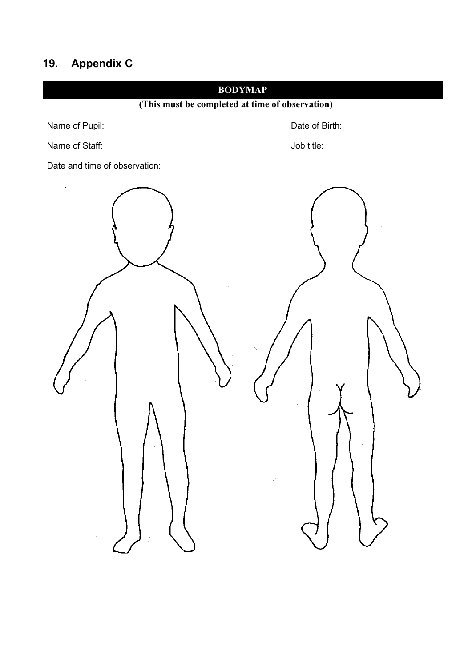# **19. Appendix C**

| <b>BODYMAP</b>                                  |
|-------------------------------------------------|
| (This must be completed at time of observation) |
| Name of Pupil:                                  |
| Name of Staff:                                  |
|                                                 |
|                                                 |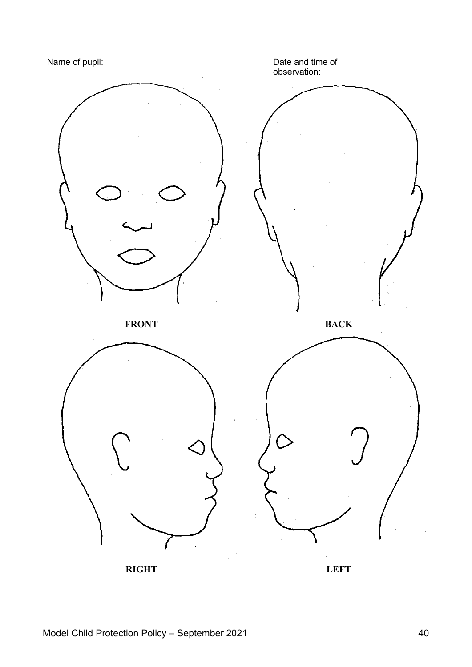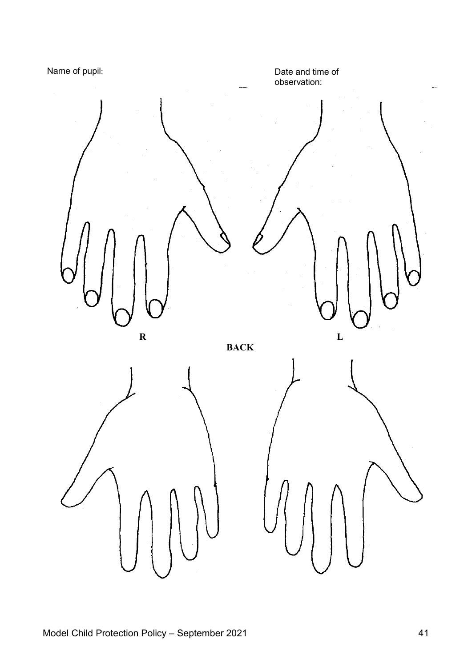